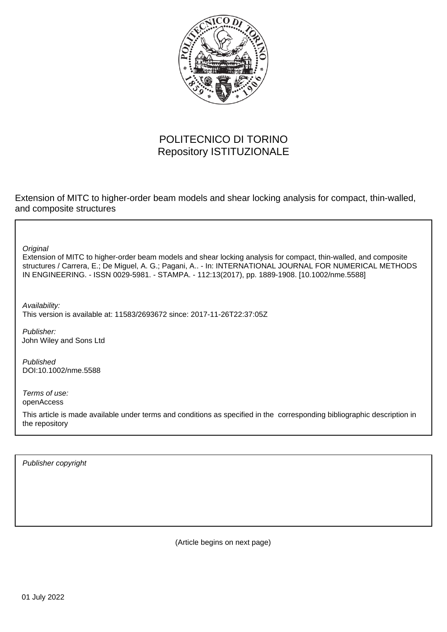

## POLITECNICO DI TORINO Repository ISTITUZIONALE

Extension of MITC to higher-order beam models and shear locking analysis for compact, thin-walled, and composite structures

**Original** 

Extension of MITC to higher-order beam models and shear locking analysis for compact, thin-walled, and composite structures / Carrera, E.; De Miguel, A. G.; Pagani, A.. - In: INTERNATIONAL JOURNAL FOR NUMERICAL METHODS IN ENGINEERING. - ISSN 0029-5981. - STAMPA. - 112:13(2017), pp. 1889-1908. [10.1002/nme.5588]

Availability: This version is available at: 11583/2693672 since: 2017-11-26T22:37:05Z

Publisher: John Wiley and Sons Ltd

Published DOI:10.1002/nme.5588

Terms of use: openAccess

This article is made available under terms and conditions as specified in the corresponding bibliographic description in the repository

Publisher copyright

(Article begins on next page)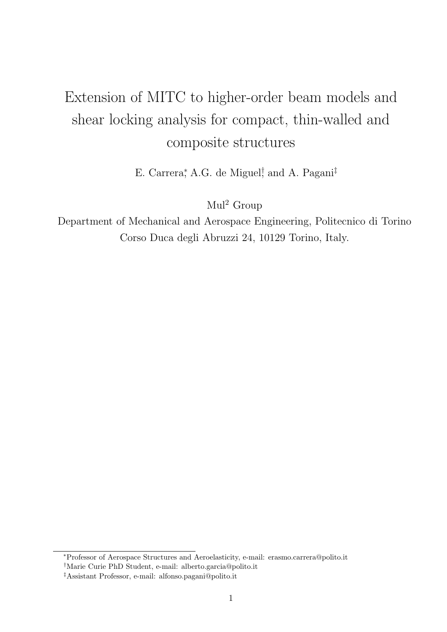# Extension of MITC to higher-order beam models and shear locking analysis for compact, thin-walled and composite structures

E. Carrera<sup>\*</sup>, A.G. de Miguel<sup>†</sup> and A. Pagani<sup>‡</sup>

 $Mul<sup>2</sup>$  Group

Department of Mechanical and Aerospace Engineering, Politecnico di Torino Corso Duca degli Abruzzi 24, 10129 Torino, Italy.

<sup>∗</sup>Professor of Aerospace Structures and Aeroelasticity, e-mail: erasmo.carrera@polito.it

<sup>†</sup>Marie Curie PhD Student, e-mail: alberto.garcia@polito.it

<sup>‡</sup>Assistant Professor, e-mail: alfonso.pagani@polito.it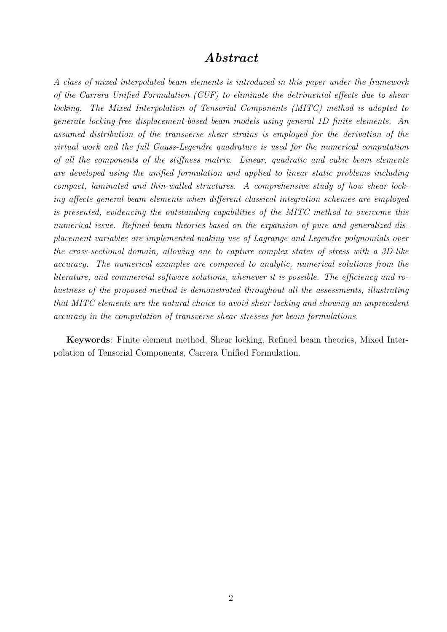## Abstract

A class of mixed interpolated beam elements is introduced in this paper under the framework of the Carrera Unified Formulation (CUF) to eliminate the detrimental effects due to shear locking. The Mixed Interpolation of Tensorial Components (MITC) method is adopted to generate locking-free displacement-based beam models using general 1D finite elements. An assumed distribution of the transverse shear strains is employed for the derivation of the virtual work and the full Gauss-Legendre quadrature is used for the numerical computation of all the components of the stiffness matrix. Linear, quadratic and cubic beam elements are developed using the unified formulation and applied to linear static problems including compact, laminated and thin-walled structures. A comprehensive study of how shear locking affects general beam elements when different classical integration schemes are employed is presented, evidencing the outstanding capabilities of the MITC method to overcome this numerical issue. Refined beam theories based on the expansion of pure and generalized displacement variables are implemented making use of Lagrange and Legendre polynomials over the cross-sectional domain, allowing one to capture complex states of stress with a 3D-like accuracy. The numerical examples are compared to analytic, numerical solutions from the literature, and commercial software solutions, whenever it is possible. The efficiency and robustness of the proposed method is demonstrated throughout all the assessments, illustrating that MITC elements are the natural choice to avoid shear locking and showing an unprecedent accuracy in the computation of transverse shear stresses for beam formulations.

Keywords: Finite element method, Shear locking, Refined beam theories, Mixed Interpolation of Tensorial Components, Carrera Unified Formulation.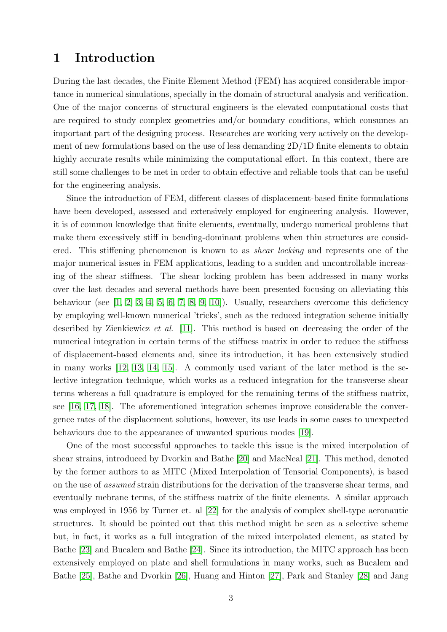### 1 Introduction

During the last decades, the Finite Element Method (FEM) has acquired considerable importance in numerical simulations, specially in the domain of structural analysis and verification. One of the major concerns of structural engineers is the elevated computational costs that are required to study complex geometries and/or boundary conditions, which consumes an important part of the designing process. Researches are working very actively on the development of new formulations based on the use of less demanding 2D/1D finite elements to obtain highly accurate results while minimizing the computational effort. In this context, there are still some challenges to be met in order to obtain effective and reliable tools that can be useful for the engineering analysis.

Since the introduction of FEM, different classes of displacement-based finite formulations have been developed, assessed and extensively employed for engineering analysis. However, it is of common knowledge that finite elements, eventually, undergo numerical problems that make them excessively stiff in bending-dominant problems when thin structures are considered. This stiffening phenomenon is known to as shear locking and represents one of the major numerical issues in FEM applications, leading to a sudden and uncontrollable increasing of the shear stiffness. The shear locking problem has been addressed in many works over the last decades and several methods have been presented focusing on alleviating this behaviour (see  $[1, 2, 3, 4, 5, 6, 7, 8, 9, 10]$ ). Usually, researchers overcome this deficiency by employing well-known numerical 'tricks', such as the reduced integration scheme initially described by Zienkiewicz et al. [11]. This method is based on decreasing the order of the numerical integration in certain terms of the stiffness matrix in order to reduce the stiffness of displacement-based elements and, since its introduction, it has been extensively studied in many works [12, 13, 14, 15]. A commonly used variant of the later method is the selective integration technique, which works as a reduced integration for the transverse shear terms whereas a full quadrature is employed for the remaining terms of the stiffness matrix, see [16, 17, 18]. The aforementioned integration schemes improve considerable the convergence rates of the displacement solutions, however, its use leads in some cases to unexpected behaviours due to the appearance of unwanted spurious modes [19].

One of the most successful approaches to tackle this issue is the mixed interpolation of shear strains, introduced by Dvorkin and Bathe [20] and MacNeal [21]. This method, denoted by the former authors to as MITC (Mixed Interpolation of Tensorial Components), is based on the use of assumed strain distributions for the derivation of the transverse shear terms, and eventually mebrane terms, of the stiffness matrix of the finite elements. A similar approach was employed in 1956 by Turner et. al [22] for the analysis of complex shell-type aeronautic structures. It should be pointed out that this method might be seen as a selective scheme but, in fact, it works as a full integration of the mixed interpolated element, as stated by Bathe [23] and Bucalem and Bathe [24]. Since its introduction, the MITC approach has been extensively employed on plate and shell formulations in many works, such as Bucalem and Bathe [25], Bathe and Dvorkin [26], Huang and Hinton [27], Park and Stanley [28] and Jang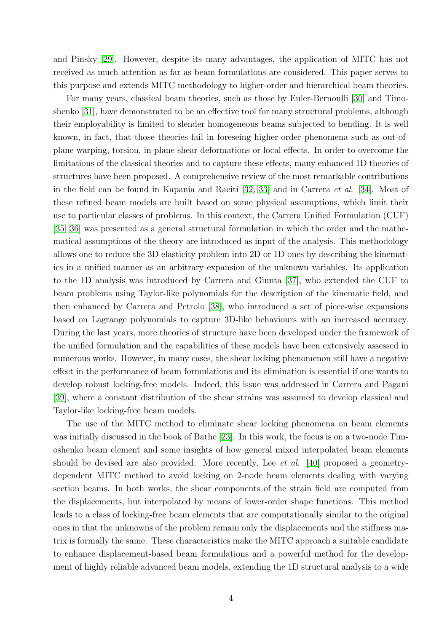and Pinsky [29]. However, despite its many advantages, the application of MITC has not received as much attention as far as beam formulations are considered. This paper serves to this purpose and extends MITC methodology to higher-order and hierarchical beam theories.

For many years, classical beam theories, such as those by Euler-Bernoulli [30] and Timoshenko [31], have demonstrated to be an effective tool for many structural problems, although their employability is limited to slender homogeneous beams subjected to bending. It is well known, in fact, that those theories fail in foreseing higher-order phenomena such as out-ofplane warping, torsion, in-plane shear deformations or local effects. In order to overcome the limitations of the classical theories and to capture these effects, many enhanced 1D theories of structures have been proposed. A comprehensive review of the most remarkable contributions in the field can be found in Kapania and Raciti [32, 33] and in Carrera et al. [34]. Most of these refined beam models are built based on some physical assumptions, which limit their use to particular classes of problems. In this context, the Carrera Unified Formulation (CUF) [35, 36] was presented as a general structural formulation in which the order and the mathematical assumptions of the theory are introduced as input of the analysis. This methodology allows one to reduce the 3D elasticity problem into 2D or 1D ones by describing the kinematics in a unified manner as an arbitrary expansion of the unknown variables. Its application to the 1D analysis was introduced by Carrera and Giunta [37], who extended the CUF to beam problems using Taylor-like polynomials for the description of the kinematic field, and then enhanced by Carrera and Petrolo [38], who introduced a set of piece-wise expansions based on Lagrange polynomials to capture 3D-like behaviours with an increased accuracy. During the last years, more theories of structure have been developed under the framework of the unified formulation and the capabilities of these models have been extensively assessed in numerous works. However, in many cases, the shear locking phenomenon still have a negative effect in the performance of beam formulations and its elimination is essential if one wants to develop robust locking-free models. Indeed, this issue was addressed in Carrera and Pagani [39], where a constant distribution of the shear strains was assumed to develop classical and Taylor-like locking-free beam models.

The use of the MITC method to eliminate shear locking phenomena on beam elements was initially discussed in the book of Bathe [23]. In this work, the focus is on a two-node Timoshenko beam element and some insights of how general mixed interpolated beam elements should be devised are also provided. More recently, Lee *et al.* [40] proposed a geometrydependent MITC method to avoid locking on 2-node beam elements dealing with varying section beams. In both works, the shear components of the strain field are computed from the displacements, but interpolated by means of lower-order shape functions. This method leads to a class of locking-free beam elements that are computationally similar to the original ones in that the unknowns of the problem remain only the displacements and the stiffness matrix is formally the same. These characteristics make the MITC approach a suitable candidate to enhance displacement-based beam formulations and a powerful method for the development of highly reliable advanced beam models, extending the 1D structural analysis to a wide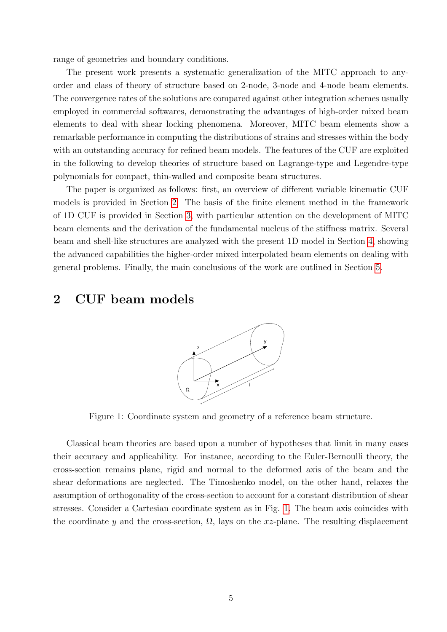range of geometries and boundary conditions.

The present work presents a systematic generalization of the MITC approach to anyorder and class of theory of structure based on 2-node, 3-node and 4-node beam elements. The convergence rates of the solutions are compared against other integration schemes usually employed in commercial softwares, demonstrating the advantages of high-order mixed beam elements to deal with shear locking phenomena. Moreover, MITC beam elements show a remarkable performance in computing the distributions of strains and stresses within the body with an outstanding accuracy for refined beam models. The features of the CUF are exploited in the following to develop theories of structure based on Lagrange-type and Legendre-type polynomials for compact, thin-walled and composite beam structures.

The paper is organized as follows: first, an overview of different variable kinematic CUF models is provided in Section 2. The basis of the finite element method in the framework of 1D CUF is provided in Section 3, with particular attention on the development of MITC beam elements and the derivation of the fundamental nucleus of the stiffness matrix. Several beam and shell-like structures are analyzed with the present 1D model in Section 4, showing the advanced capabilities the higher-order mixed interpolated beam elements on dealing with general problems. Finally, the main conclusions of the work are outlined in Section 5.

## 2 CUF beam models



Figure 1: Coordinate system and geometry of a reference beam structure.

Classical beam theories are based upon a number of hypotheses that limit in many cases their accuracy and applicability. For instance, according to the Euler-Bernoulli theory, the cross-section remains plane, rigid and normal to the deformed axis of the beam and the shear deformations are neglected. The Timoshenko model, on the other hand, relaxes the assumption of orthogonality of the cross-section to account for a constant distribution of shear stresses. Consider a Cartesian coordinate system as in Fig. 1. The beam axis coincides with the coordinate y and the cross-section,  $\Omega$ , lays on the xz-plane. The resulting displacement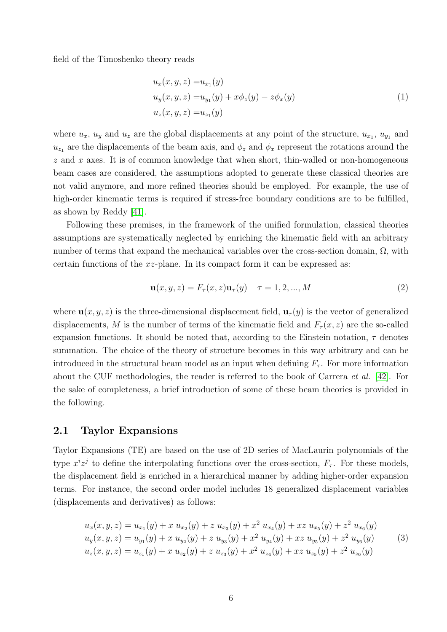field of the Timoshenko theory reads

$$
u_x(x, y, z) = u_{x_1}(y)
$$
  
\n
$$
u_y(x, y, z) = u_{y_1}(y) + x\phi_z(y) - z\phi_x(y)
$$
  
\n
$$
u_z(x, y, z) = u_{z_1}(y)
$$
\n(1)

where  $u_x$ ,  $u_y$  and  $u_z$  are the global displacements at any point of the structure,  $u_{x_1}, u_{y_1}$  and  $u_{z_1}$  are the displacements of the beam axis, and  $\phi_z$  and  $\phi_x$  represent the rotations around the  $z$  and  $x$  axes. It is of common knowledge that when short, thin-walled or non-homogeneous beam cases are considered, the assumptions adopted to generate these classical theories are not valid anymore, and more refined theories should be employed. For example, the use of high-order kinematic terms is required if stress-free boundary conditions are to be fulfilled, as shown by Reddy [41].

Following these premises, in the framework of the unified formulation, classical theories assumptions are systematically neglected by enriching the kinematic field with an arbitrary number of terms that expand the mechanical variables over the cross-section domain,  $\Omega$ , with certain functions of the  $xz$ -plane. In its compact form it can be expressed as:

$$
\mathbf{u}(x, y, z) = F_{\tau}(x, z)\mathbf{u}_{\tau}(y) \quad \tau = 1, 2, ..., M
$$
 (2)

where  $\mathbf{u}(x, y, z)$  is the three-dimensional displacement field,  $\mathbf{u}_\tau(y)$  is the vector of generalized displacements, M is the number of terms of the kinematic field and  $F_\tau(x, z)$  are the so-called expansion functions. It should be noted that, according to the Einstein notation,  $\tau$  denotes summation. The choice of the theory of structure becomes in this way arbitrary and can be introduced in the structural beam model as an input when defining  $F_{\tau}$ . For more information about the CUF methodologies, the reader is referred to the book of Carrera et al. [42]. For the sake of completeness, a brief introduction of some of these beam theories is provided in the following.

#### 2.1 Taylor Expansions

Taylor Expansions (TE) are based on the use of 2D series of MacLaurin polynomials of the type  $x^i z^j$  to define the interpolating functions over the cross-section,  $F_\tau$ . For these models, the displacement field is enriched in a hierarchical manner by adding higher-order expansion terms. For instance, the second order model includes 18 generalized displacement variables (displacements and derivatives) as follows:

$$
u_x(x, y, z) = u_{x_1}(y) + x u_{x_2}(y) + z u_{x_3}(y) + x^2 u_{x_4}(y) + x z u_{x_5}(y) + z^2 u_{x_6}(y)
$$
  
\n
$$
u_y(x, y, z) = u_{y_1}(y) + x u_{y_2}(y) + z u_{y_3}(y) + x^2 u_{y_4}(y) + x z u_{y_5}(y) + z^2 u_{y_6}(y)
$$
  
\n
$$
u_z(x, y, z) = u_{z_1}(y) + x u_{z_2}(y) + z u_{z_3}(y) + x^2 u_{z_4}(y) + x z u_{z_5}(y) + z^2 u_{z_6}(y)
$$
\n(3)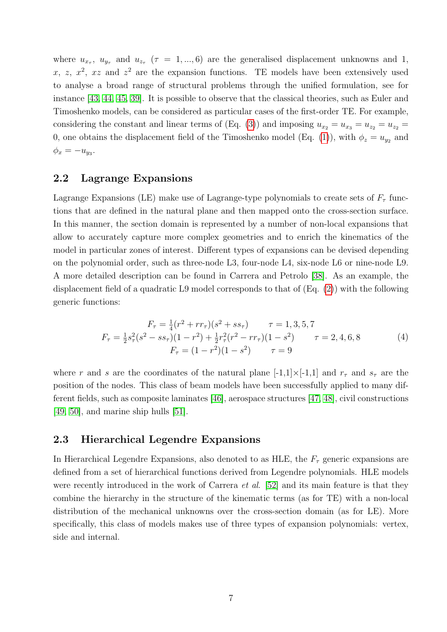where  $u_{x_{\tau}}, u_{y_{\tau}}$  and  $u_{z_{\tau}}$  ( $\tau = 1,...,6$ ) are the generalised displacement unknowns and 1, x, z,  $x^2$ , xz and  $z^2$  are the expansion functions. TE models have been extensively used to analyse a broad range of structural problems through the unified formulation, see for instance [43, 44, 45, 39]. It is possible to observe that the classical theories, such as Euler and Timoshenko models, can be considered as particular cases of the first-order TE. For example, considering the constant and linear terms of (Eq. (3)) and imposing  $u_{x_2} = u_{x_3} = u_{z_2} = u_{z_3}$ 0, one obtains the displacement field of the Timoshenko model (Eq. (1)), with  $\phi_z = u_{y_2}$  and  $\phi_x = -u_{y_3}.$ 

#### 2.2 Lagrange Expansions

Lagrange Expansions (LE) make use of Lagrange-type polynomials to create sets of  $F_{\tau}$  functions that are defined in the natural plane and then mapped onto the cross-section surface. In this manner, the section domain is represented by a number of non-local expansions that allow to accurately capture more complex geometries and to enrich the kinematics of the model in particular zones of interest. Different types of expansions can be devised depending on the polynomial order, such as three-node L3, four-node L4, six-node L6 or nine-node L9. A more detailed description can be found in Carrera and Petrolo [38]. As an example, the displacement field of a quadratic L9 model corresponds to that of (Eq. (2)) with the following generic functions:

$$
F_{\tau} = \frac{1}{4}(r^2 + rr_{\tau})(s^2 + ss_{\tau}) \qquad \tau = 1, 3, 5, 7
$$
  
\n
$$
F_{\tau} = \frac{1}{2}s_{\tau}^2(s^2 - ss_{\tau})(1 - r^2) + \frac{1}{2}r_{\tau}^2(r^2 - rr_{\tau})(1 - s^2) \qquad \tau = 2, 4, 6, 8
$$
  
\n
$$
F_{\tau} = (1 - r^2)(1 - s^2) \qquad \tau = 9
$$
\n(4)

where r and s are the coordinates of the natural plane  $[-1,1] \times [-1,1]$  and  $r<sub>\tau</sub>$  and  $s<sub>\tau</sub>$  are the position of the nodes. This class of beam models have been successfully applied to many different fields, such as composite laminates [46], aerospace structures [47, 48], civil constructions [49, 50], and marine ship hulls [51].

#### 2.3 Hierarchical Legendre Expansions

In Hierarchical Legendre Expansions, also denoted to as HLE, the  $F<sub>\tau</sub>$  generic expansions are defined from a set of hierarchical functions derived from Legendre polynomials. HLE models were recently introduced in the work of Carrera *et al.* [52] and its main feature is that they combine the hierarchy in the structure of the kinematic terms (as for TE) with a non-local distribution of the mechanical unknowns over the cross-section domain (as for LE). More specifically, this class of models makes use of three types of expansion polynomials: vertex, side and internal.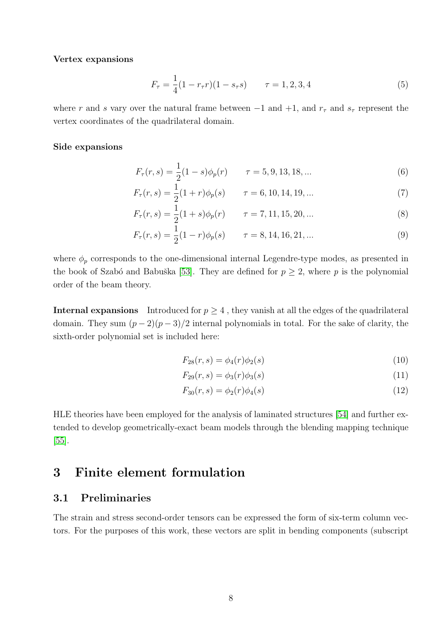#### Vertex expansions

$$
F_{\tau} = \frac{1}{4}(1 - r_{\tau}r)(1 - s_{\tau}s) \qquad \tau = 1, 2, 3, 4 \tag{5}
$$

where r and s vary over the natural frame between  $-1$  and  $+1$ , and  $r<sub>\tau</sub>$  and  $s<sub>\tau</sub>$  represent the vertex coordinates of the quadrilateral domain.

#### Side expansions

$$
F_{\tau}(r,s) = \frac{1}{2}(1-s)\phi_p(r) \qquad \tau = 5, 9, 13, 18, \dots \tag{6}
$$

$$
F_{\tau}(r,s) = \frac{1}{2}(1+r)\phi_p(s) \qquad \tau = 6, 10, 14, 19, ... \tag{7}
$$

$$
F_{\tau}(r,s) = \frac{1}{2}(1+s)\phi_p(r) \qquad \tau = 7, 11, 15, 20, ... \tag{8}
$$

$$
F_{\tau}(r,s) = \frac{1}{2}(1-r)\phi_p(s) \qquad \tau = 8, 14, 16, 21, \dots \tag{9}
$$

where  $\phi_p$  corresponds to the one-dimensional internal Legendre-type modes, as presented in the book of Szabó and Babuška [53]. They are defined for  $p \geq 2$ , where p is the polynomial order of the beam theory.

**Internal expansions** Introduced for  $p \geq 4$ , they vanish at all the edges of the quadrilateral domain. They sum  $(p-2)(p-3)/2$  internal polynomials in total. For the sake of clarity, the sixth-order polynomial set is included here:

$$
F_{28}(r,s) = \phi_4(r)\phi_2(s)
$$
\n(10)

$$
F_{29}(r,s) = \phi_3(r)\phi_3(s) \tag{11}
$$

$$
F_{30}(r,s) = \phi_2(r)\phi_4(s) \tag{12}
$$

HLE theories have been employed for the analysis of laminated structures [54] and further extended to develop geometrically-exact beam models through the blending mapping technique [55].

### 3 Finite element formulation

#### 3.1 Preliminaries

The strain and stress second-order tensors can be expressed the form of six-term column vectors. For the purposes of this work, these vectors are split in bending components (subscript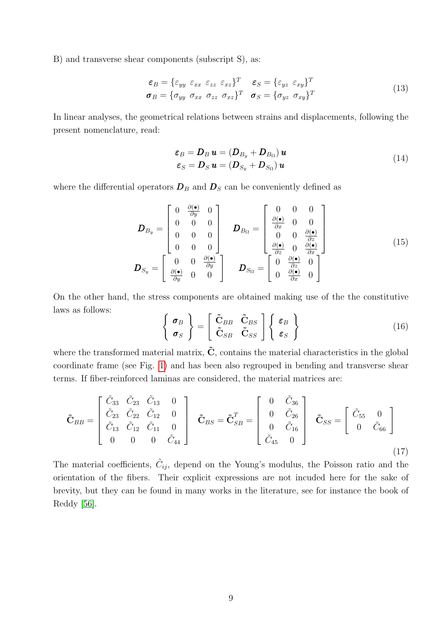B) and transverse shear components (subscript S), as:

$$
\begin{aligned}\n\boldsymbol{\varepsilon}_{B} &= \{ \varepsilon_{yy} \ \varepsilon_{xx} \ \varepsilon_{zz} \ \varepsilon_{xz} \}^{T} \quad \boldsymbol{\varepsilon}_{S} = \{ \varepsilon_{yz} \ \varepsilon_{xy} \}^{T} \\
\boldsymbol{\sigma}_{B} &= \{ \sigma_{yy} \ \sigma_{xx} \ \sigma_{zz} \ \sigma_{xz} \}^{T} \quad \boldsymbol{\sigma}_{S} = \{ \sigma_{yz} \ \sigma_{xy} \}^{T}\n\end{aligned} \tag{13}
$$

In linear analyses, the geometrical relations between strains and displacements, following the present nomenclature, read:

$$
\varepsilon_B = D_B \mathbf{u} = (D_{B_y} + D_{B_\Omega}) \mathbf{u}
$$
  
\n
$$
\varepsilon_S = D_S \mathbf{u} = (D_{S_y} + D_{S_\Omega}) \mathbf{u}
$$
\n(14)

where the differential operators  $D_B$  and  $D_S$  can be conveniently defined as

$$
\boldsymbol{D}_{B_y} = \begin{bmatrix} 0 & \frac{\partial(\bullet)}{\partial y} & 0 \\ 0 & 0 & 0 \\ 0 & 0 & 0 \\ 0 & 0 & 0 \end{bmatrix} \quad \boldsymbol{D}_{B_{\Omega}} = \begin{bmatrix} 0 & 0 & 0 \\ \frac{\partial(\bullet)}{\partial x} & 0 & 0 \\ 0 & 0 & \frac{\partial(\bullet)}{\partial z} \\ \frac{\partial(\bullet)}{\partial z} & 0 & \frac{\partial(\bullet)}{\partial x} \end{bmatrix}
$$
\n
$$
\boldsymbol{D}_{S_y} = \begin{bmatrix} 0 & 0 & \frac{\partial(\bullet)}{\partial z} & 0 \\ 0 & 0 & \frac{\partial(\bullet)}{\partial z} & 0 \\ \frac{\partial(\bullet)}{\partial y} & 0 & 0 \end{bmatrix} \quad \boldsymbol{D}_{S_{\Omega}} = \begin{bmatrix} 0 & \frac{\partial(\bullet)}{\partial z} & 0 \\ 0 & \frac{\partial(\bullet)}{\partial x} & 0 \\ 0 & \frac{\partial(\bullet)}{\partial x} & 0 \end{bmatrix}
$$
\n(15)

On the other hand, the stress components are obtained making use of the the constitutive laws as follows:

$$
\left\{\begin{array}{c}\n\boldsymbol{\sigma}_{B} \\
\boldsymbol{\sigma}_{S}\n\end{array}\right\} = \left[\begin{array}{cc}\n\tilde{\mathbf{C}}_{BB} & \tilde{\mathbf{C}}_{BS} \\
\tilde{\mathbf{C}}_{SB} & \tilde{\mathbf{C}}_{SS}\n\end{array}\right] \left\{\begin{array}{c}\n\varepsilon_{B} \\
\varepsilon_{S}\n\end{array}\right\}
$$
\n(16)

where the transformed material matrix,  $\tilde{C}$ , contains the material characteristics in the global coordinate frame (see Fig. 1) and has been also regrouped in bending and transverse shear terms. If fiber-reinforced laminas are considered, the material matrices are:

$$
\tilde{\mathbf{C}}_{BB} = \begin{bmatrix} \tilde{C}_{33} & \tilde{C}_{23} & \tilde{C}_{13} & 0 \\ \tilde{C}_{23} & \tilde{C}_{22} & \tilde{C}_{12} & 0 \\ \tilde{C}_{13} & \tilde{C}_{12} & \tilde{C}_{11} & 0 \\ 0 & 0 & 0 & \tilde{C}_{44} \end{bmatrix} \quad \tilde{\mathbf{C}}_{BS} = \tilde{\mathbf{C}}_{SB}^T = \begin{bmatrix} 0 & \tilde{C}_{36} \\ 0 & \tilde{C}_{26} \\ 0 & \tilde{C}_{16} \\ \tilde{C}_{45} & 0 \end{bmatrix} \quad \tilde{\mathbf{C}}_{SS} = \begin{bmatrix} \tilde{C}_{55} & 0 \\ 0 & \tilde{C}_{66} \end{bmatrix}
$$
\n(17)

The material coefficients,  $\tilde{C}_{ij}$ , depend on the Young's modulus, the Poisson ratio and the orientation of the fibers. Their explicit expressions are not incuded here for the sake of brevity, but they can be found in many works in the literature, see for instance the book of Reddy [56].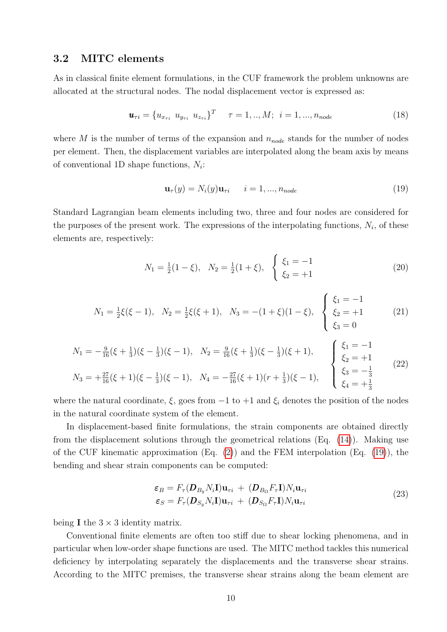#### 3.2 MITC elements

As in classical finite element formulations, in the CUF framework the problem unknowns are allocated at the structural nodes. The nodal displacement vector is expressed as:

$$
\mathbf{u}_{\tau i} = \{u_{x_{\tau i}} \ u_{y_{\tau i}} \ u_{z_{\tau i}}\}^T \quad \tau = 1, ..., M; \ i = 1, ..., n_{node}
$$
\n(18)

where M is the number of terms of the expansion and  $n_{node}$  stands for the number of nodes per element. Then, the displacement variables are interpolated along the beam axis by means of conventional 1D shape functions,  $N_i$ :

$$
\mathbf{u}_{\tau}(y) = N_i(y)\mathbf{u}_{\tau i} \qquad i = 1, \dots, n_{node} \tag{19}
$$

Standard Lagrangian beam elements including two, three and four nodes are considered for the purposes of the present work. The expressions of the interpolating functions,  $N_i$ , of these elements are, respectively:

$$
N_1 = \frac{1}{2}(1 - \xi), \quad N_2 = \frac{1}{2}(1 + \xi), \quad \begin{cases} \xi_1 = -1\\ \xi_2 = +1 \end{cases}
$$
 (20)

$$
N_1 = \frac{1}{2}\xi(\xi - 1), \quad N_2 = \frac{1}{2}\xi(\xi + 1), \quad N_3 = -(1 + \xi)(1 - \xi), \quad \begin{cases} \xi_1 = -1\\ \xi_2 = +1\\ \xi_3 = 0 \end{cases} \tag{21}
$$

$$
N_1 = -\frac{9}{16}(\xi + \frac{1}{3})(\xi - \frac{1}{3})(\xi - 1), \quad N_2 = \frac{9}{16}(\xi + \frac{1}{3})(\xi - \frac{1}{3})(\xi + 1), \quad \begin{cases} \xi_1 = -1\\ \xi_2 = +1\\ \xi_2 = +1\\ \xi_3 = -\frac{1}{3} \end{cases} (22)
$$
  

$$
N_3 = +\frac{27}{16}(\xi + 1)(\xi - \frac{1}{3})(\xi - 1), \quad N_4 = -\frac{27}{16}(\xi + 1)(r + \frac{1}{3})(\xi - 1), \quad \begin{cases} \xi_1 = -1\\ \xi_2 = +1\\ \xi_3 = -\frac{1}{3} \end{cases} (22)
$$

where the natural coordinate,  $\xi$ , goes from  $-1$  to  $+1$  and  $\xi_i$  denotes the position of the nodes in the natural coordinate system of the element.

In displacement-based finite formulations, the strain components are obtained directly from the displacement solutions through the geometrical relations (Eq. (14)). Making use of the CUF kinematic approximation (Eq.  $(2)$ ) and the FEM interpolation (Eq.  $(19)$ ), the bending and shear strain components can be computed:

$$
\varepsilon_B = F_\tau(\mathbf{D}_{B_y} N_i \mathbf{I}) \mathbf{u}_{\tau i} + (\mathbf{D}_{B_\Omega} F_\tau \mathbf{I}) N_i \mathbf{u}_{\tau i}
$$
  
\n
$$
\varepsilon_S = F_\tau(\mathbf{D}_{S_y} N_i \mathbf{I}) \mathbf{u}_{\tau i} + (\mathbf{D}_{S_\Omega} F_\tau \mathbf{I}) N_i \mathbf{u}_{\tau i}
$$
\n(23)

being **I** the  $3 \times 3$  identity matrix.

Conventional finite elements are often too stiff due to shear locking phenomena, and in particular when low-order shape functions are used. The MITC method tackles this numerical deficiency by interpolating separately the displacements and the transverse shear strains. According to the MITC premises, the transverse shear strains along the beam element are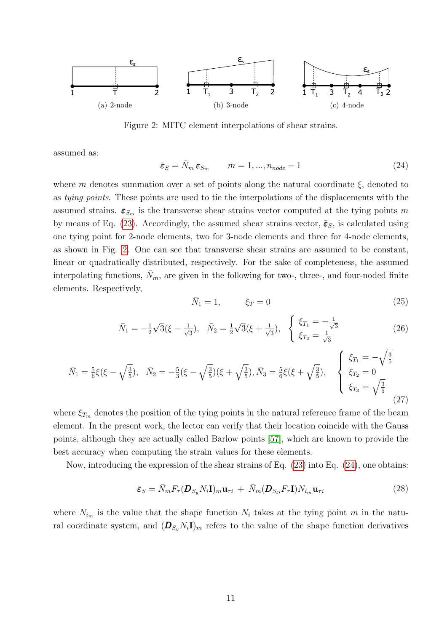

Figure 2: MITC element interpolations of shear strains.

assumed as:

$$
\bar{\varepsilon}_S = \bar{N}_m \, \varepsilon_{S_m} \qquad m = 1, \dots, n_{node} - 1 \tag{24}
$$

where m denotes summation over a set of points along the natural coordinate  $\xi$ , denoted to as tying points. These points are used to tie the interpolations of the displacements with the assumed strains.  $\varepsilon_{S_m}$  is the transverse shear strains vector computed at the tying points m by means of Eq. (23). Accordingly, the assumed shear strains vector,  $\bar{\epsilon}_s$ , is calculated using one tying point for 2-node elements, two for 3-node elements and three for 4-node elements, as shown in Fig. 2. One can see that transverse shear strains are assumed to be constant, linear or quadratically distributed, respectively. For the sake of completeness, the assumed interpolating functions,  $\bar{N}_m$ , are given in the following for two-, three-, and four-noded finite elements. Respectively,

$$
\bar{N}_1 = 1, \qquad \xi_T = 0 \tag{25}
$$

$$
\bar{N}_1 = -\frac{1}{2}\sqrt{3}(\xi - \frac{1}{\sqrt{3}}), \quad \bar{N}_2 = \frac{1}{2}\sqrt{3}(\xi + \frac{1}{\sqrt{3}}), \quad \begin{cases} \xi_{T_1} = -\frac{1}{\sqrt{3}}\\ \xi_{T_2} = \frac{1}{\sqrt{3}} \end{cases}
$$
\n(26)

$$
\bar{N}_1 = \frac{5}{6}\xi(\xi - \sqrt{\frac{3}{5}}), \quad \bar{N}_2 = -\frac{5}{3}(\xi - \sqrt{\frac{3}{5}})(\xi + \sqrt{\frac{3}{5}}), \quad \bar{N}_3 = \frac{5}{6}\xi(\xi + \sqrt{\frac{3}{5}}), \quad \begin{cases} \xi_{T_1} = -\sqrt{\frac{3}{5}}\\ \xi_{T_2} = 0\\ \xi_{T_3} = \sqrt{\frac{3}{5}} \end{cases}
$$
\n(27)

where  $\xi_{T_m}$  denotes the position of the tying points in the natural reference frame of the beam element. In the present work, the lector can verify that their location coincide with the Gauss points, although they are actually called Barlow points [57], which are known to provide the best accuracy when computing the strain values for these elements.

Now, introducing the expression of the shear strains of Eq. (23) into Eq. (24), one obtains:

$$
\bar{\boldsymbol{\varepsilon}}_{S} = \bar{N}_{m} F_{\tau} (\boldsymbol{D}_{S_{y}} N_{i} \mathbf{I})_{m} \mathbf{u}_{\tau i} + \bar{N}_{m} (\boldsymbol{D}_{S_{\Omega}} F_{\tau} \mathbf{I}) N_{i_{m}} \mathbf{u}_{\tau i}
$$
(28)

where  $N_{i_m}$  is the value that the shape function  $N_i$  takes at the tying point m in the natural coordinate system, and  $(D_{S_y}N_i\mathbf{I})_m$  refers to the value of the shape function derivatives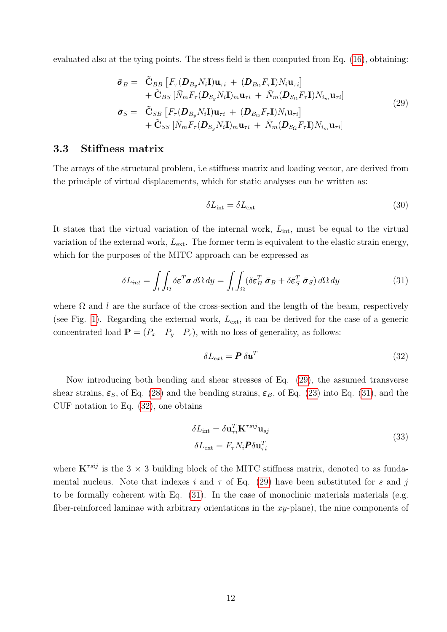evaluated also at the tying points. The stress field is then computed from Eq. (16), obtaining:

$$
\bar{\sigma}_{B} = \tilde{\mathbf{C}}_{BB} \left[ F_{\tau}(\mathbf{D}_{B_{y}} N_{i} \mathbf{I}) \mathbf{u}_{\tau i} + (\mathbf{D}_{B_{\Omega}} F_{\tau} \mathbf{I}) N_{i} \mathbf{u}_{\tau i} \right] \n+ \tilde{\mathbf{C}}_{BS} \left[ \bar{N}_{m} F_{\tau}(\mathbf{D}_{S_{y}} N_{i} \mathbf{I})_{m} \mathbf{u}_{\tau i} + \bar{N}_{m}(\mathbf{D}_{S_{\Omega}} F_{\tau} \mathbf{I}) N_{i_{m}} \mathbf{u}_{\tau i} \right] \n\bar{\sigma}_{S} = \tilde{\mathbf{C}}_{SB} \left[ F_{\tau}(\mathbf{D}_{B_{y}} N_{i} \mathbf{I}) \mathbf{u}_{\tau i} + (\mathbf{D}_{B_{\Omega}} F_{\tau} \mathbf{I}) N_{i} \mathbf{u}_{\tau i} \right] \n+ \tilde{\mathbf{C}}_{SS} \left[ \bar{N}_{m} F_{\tau}(\mathbf{D}_{S_{y}} N_{i} \mathbf{I})_{m} \mathbf{u}_{\tau i} + \bar{N}_{m}(\mathbf{D}_{S_{\Omega}} F_{\tau} \mathbf{I}) N_{i_{m}} \mathbf{u}_{\tau i} \right]
$$
\n(29)

#### 3.3 Stiffness matrix

The arrays of the structural problem, i.e stiffness matrix and loading vector, are derived from the principle of virtual displacements, which for static analyses can be written as:

$$
\delta L_{\text{int}} = \delta L_{\text{ext}} \tag{30}
$$

It states that the virtual variation of the internal work,  $L_{\text{int}}$ , must be equal to the virtual variation of the external work,  $L_{\text{ext}}$ . The former term is equivalent to the elastic strain energy, which for the purposes of the MITC approach can be expressed as

$$
\delta L_{int} = \int_{l} \int_{\Omega} \delta \varepsilon^{T} \sigma \, d\Omega \, dy = \int_{l} \int_{\Omega} (\delta \varepsilon_{B}^{T} \, \bar{\sigma}_{B} + \delta \bar{\varepsilon}_{S}^{T} \, \bar{\sigma}_{S}) \, d\Omega \, dy \tag{31}
$$

where  $\Omega$  and l are the surface of the cross-section and the length of the beam, respectively (see Fig. 1). Regarding the external work,  $L_{\text{ext}}$ , it can be derived for the case of a generic concentrated load  $\mathbf{P} = (P_x \quad P_y \quad P_z)$ , with no loss of generality, as follows:

$$
\delta L_{ext} = \boldsymbol{P} \, \delta \boldsymbol{u}^T \tag{32}
$$

Now introducing both bending and shear stresses of Eq. (29), the assumed transverse shear strains,  $\bar{\epsilon}_S$ , of Eq. (28) and the bending strains,  $\epsilon_B$ , of Eq. (23) into Eq. (31), and the CUF notation to Eq. (32), one obtains

$$
\delta L_{int} = \delta \mathbf{u}_{\tau i}^T \mathbf{K}^{\tau s i j} \mathbf{u}_{s j}
$$
  
\n
$$
\delta L_{ext} = F_{\tau} N_i \mathbf{P} \delta \mathbf{u}_{\tau i}^T
$$
\n(33)

where  $\mathbf{K}^{\tau s i j}$  is the 3 × 3 building block of the MITC stiffness matrix, denoted to as fundamental nucleus. Note that indexes i and  $\tau$  of Eq. (29) have been substituted for s and j to be formally coherent with Eq. (31). In the case of monoclinic materials materials (e.g. fiber-reinforced laminae with arbitrary orientations in the  $xy$ -plane), the nine components of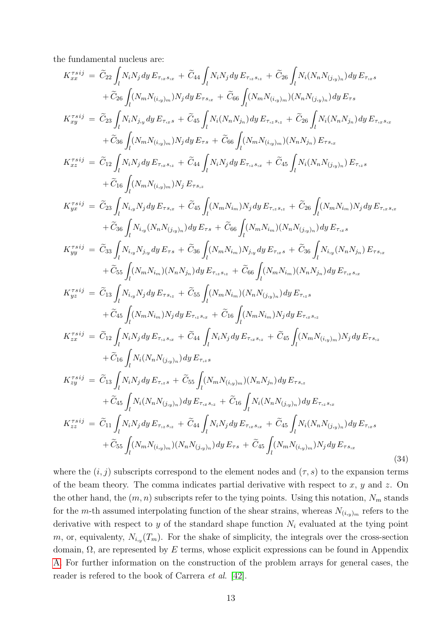the fundamental nucleus are:

$$
\begin{split} K_{xx}^{\pi s ij} &= \tilde{C}_{22} \int_{l} N_{i} N_{j} dy E_{\tau_{xx}s_{ix}} + \tilde{C}_{44} \int_{l} N_{i} N_{j} dy E_{\tau_{x}s_{ix}} + \tilde{C}_{26} \int_{l} N_{i} (N_{n} N_{(j_{y})_{n}}) dy E_{\tau_{xx}s} \\ &+ \tilde{C}_{26} \int_{l} (N_{m} N_{(i_{y})_{m}}) N_{j} dy E_{\tau_{5}s_{ix}} + \tilde{C}_{66} \int_{l} (N_{m} N_{(i_{y})_{m}}) (N_{n} N_{(j_{y})_{n}}) dy E_{\tau_{5}} \\ K_{xy}^{\pi s ij} &= \tilde{C}_{23} \int_{l} N_{i} N_{j_{y}} dy E_{\tau_{xx}s} + \tilde{C}_{45} \int_{l} N_{i} (N_{n} N_{j_{y}}) dy E_{\tau_{x}s_{ix}} + \tilde{C}_{26} \int_{l} N_{i} (N_{n} N_{j_{y}}) dy E_{\tau_{xx}s_{ix}} \\ &+ \tilde{C}_{36} \int_{l} (N_{m} N_{(i_{y})_{m}}) N_{j} dy E_{\tau_{5}} + \tilde{C}_{66} \int_{l} (N_{m} N_{(i_{y})_{m}}) (N_{n} N_{j_{0}}) E_{\tau_{5}} \\ &+ \tilde{C}_{16} \int_{l} N_{i} N_{j} dy E_{\tau_{xx}s_{ix}} + \tilde{C}_{44} \int_{l} N_{i} N_{j} dy E_{\tau_{5}s_{ix}} + \tilde{C}_{45} \int_{l} N_{i} (N_{n} N_{(j_{y})_{n}}) E_{\tau_{5}} \\ &+ \tilde{C}_{56} \int_{l} (N_{m} N_{(i_{y})_{m}}) N_{j} E_{\tau_{5}} \\ &+ \tilde{C}_{56} \int_{l} N_{i} N_{i} N_{j} dy E_{\tau_{5}} + \tilde{C}_{66} \int_{l} (N_{m} N_{i_{m}}) N_{j} dy E_{\tau_{5}s_{ix}} + \tilde{C}_{26} \int_{l} (N_{m} N_{i_{m}}) N_{j} dy E_{\tau_{5}s_{ix}} \\ &+ \tilde{C}_{56
$$

where the  $(i, j)$  subscripts correspond to the element nodes and  $(\tau, s)$  to the expansion terms of the beam theory. The comma indicates partial derivative with respect to  $x, y$  and  $z$ . On the other hand, the  $(m, n)$  subscripts refer to the tying points. Using this notation,  $N_m$  stands for the m-th assumed interpolating function of the shear strains, whereas  $N_{(i,y)_m}$  refers to the derivative with respect to y of the standard shape function  $N_i$  evaluated at the tying point m, or, equivalenty,  $N_{i,y}(T_m)$ . For the shake of simplicity, the integrals over the cross-section domain,  $\Omega$ , are represented by E terms, whose explicit expressions can be found in Appendix A. For further information on the construction of the problem arrays for general cases, the reader is refered to the book of Carrera et al. [42].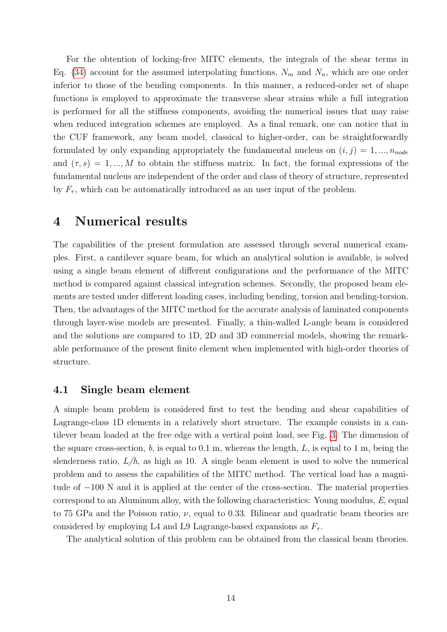For the obtention of locking-free MITC elements, the integrals of the shear terms in Eq. (34) account for the assumed interpolating functions,  $N_m$  and  $N_n$ , which are one order inferior to those of the bending components. In this manner, a reduced-order set of shape functions is employed to approximate the transverse shear strains while a full integration is performed for all the stiffness components, avoiding the numerical issues that may raise when reduced integration schemes are employed. As a final remark, one can notice that in the CUF framework, any beam model, classical to higher-order, can be straightforwardly formulated by only expanding appropriately the fundamental nucleus on  $(i, j) = 1, ..., n_{node}$ and  $(\tau, s) = 1, ..., M$  to obtain the stiffness matrix. In fact, the formal expressions of the fundamental nucleus are independent of the order and class of theory of structure, represented by  $F_{\tau}$ , which can be automatically introduced as an user input of the problem.

### 4 Numerical results

The capabilities of the present formulation are assessed through several numerical examples. First, a cantilever square beam, for which an analytical solution is available, is solved using a single beam element of different configurations and the performance of the MITC method is compared against classical integration schemes. Secondly, the proposed beam elements are tested under different loading cases, including bending, torsion and bending-torsion. Then, the advantages of the MITC method for the accurate analysis of laminated components through layer-wise models are presented. Finally, a thin-walled L-angle beam is considered and the solutions are compared to 1D, 2D and 3D commercial models, showing the remarkable performance of the present finite element when implemented with high-order theories of structure.

#### 4.1 Single beam element

A simple beam problem is considered first to test the bending and shear capabilities of Lagrange-class 1D elements in a relatively short structure. The example consists in a cantilever beam loaded at the free edge with a vertical point load, see Fig. 3. The dimension of the square cross-section,  $b$ , is equal to 0.1 m, whereas the length,  $L$ , is equal to 1 m, being the slenderness ratio,  $L/h$ , as high as 10. A single beam element is used to solve the numerical problem and to assess the capabilities of the MITC method. The vertical load has a magnitude of −100 N and it is applied at the center of the cross-section. The material properties correspond to an Aluminum alloy, with the following characteristics: Young modulus, E, equal to 75 GPa and the Poisson ratio,  $\nu$ , equal to 0.33. Bilinear and quadratic beam theories are considered by employing L4 and L9 Lagrange-based expansions as  $F_{\tau}$ .

The analytical solution of this problem can be obtained from the classical beam theories.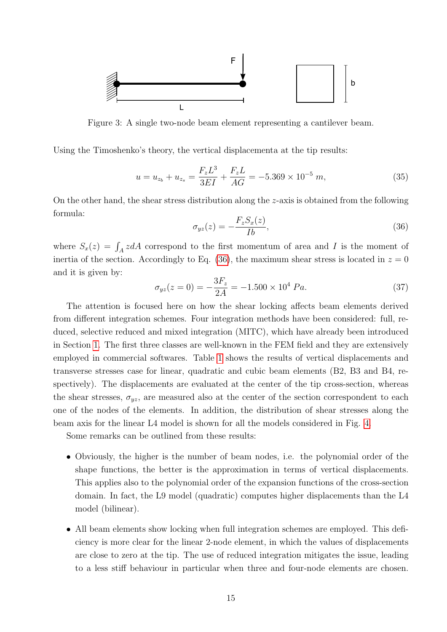

Figure 3: A single two-node beam element representing a cantilever beam.

Using the Timoshenko's theory, the vertical displacementa at the tip results:

$$
u = u_{z_b} + u_{z_s} = \frac{F_z L^3}{3EI} + \frac{F_z L}{AG} = -5.369 \times 10^{-5} m,
$$
\n(35)

On the other hand, the shear stress distribution along the z-axis is obtained from the following formula:

$$
\sigma_{yz}(z) = -\frac{F_z S_x(z)}{Ib},\tag{36}
$$

where  $S_x(z) = \int_A z dA$  correspond to the first momentum of area and I is the moment of inertia of the section. Accordingly to Eq. (36), the maximum shear stress is located in  $z = 0$ and it is given by:

$$
\sigma_{yz}(z=0) = -\frac{3F_z}{2A} = -1.500 \times 10^4 Pa.
$$
\n(37)

The attention is focused here on how the shear locking affects beam elements derived from different integration schemes. Four integration methods have been considered: full, reduced, selective reduced and mixed integration (MITC), which have already been introduced in Section 1. The first three classes are well-known in the FEM field and they are extensively employed in commercial softwares. Table 1 shows the results of vertical displacements and transverse stresses case for linear, quadratic and cubic beam elements (B2, B3 and B4, respectively). The displacements are evaluated at the center of the tip cross-section, whereas the shear stresses,  $\sigma_{uz}$ , are measured also at the center of the section correspondent to each one of the nodes of the elements. In addition, the distribution of shear stresses along the beam axis for the linear L4 model is shown for all the models considered in Fig. 4.

Some remarks can be outlined from these results:

- Obviously, the higher is the number of beam nodes, i.e. the polynomial order of the shape functions, the better is the approximation in terms of vertical displacements. This applies also to the polynomial order of the expansion functions of the cross-section domain. In fact, the L9 model (quadratic) computes higher displacements than the L4 model (bilinear).
- All beam elements show locking when full integration schemes are employed. This deficiency is more clear for the linear 2-node element, in which the values of displacements are close to zero at the tip. The use of reduced integration mitigates the issue, leading to a less stiff behaviour in particular when three and four-node elements are chosen.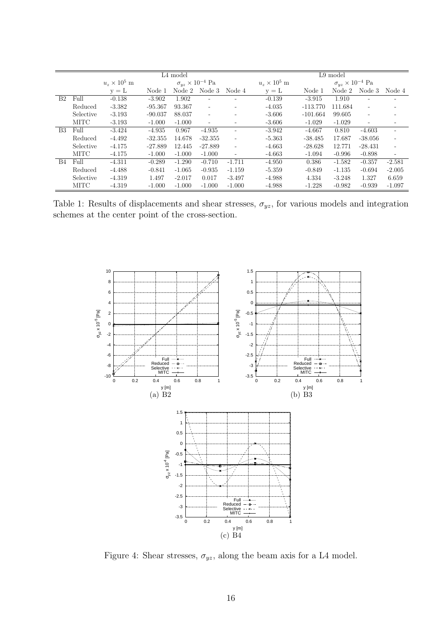|                |           | L <sub>4</sub> model      |           |          |                                 | $L9 \text{ model}$       |                           |            |                                 |                          |                          |
|----------------|-----------|---------------------------|-----------|----------|---------------------------------|--------------------------|---------------------------|------------|---------------------------------|--------------------------|--------------------------|
|                |           | $u_{\star} \times 10^5$ m |           |          | $\sigma_{yz} \times 10^{-4}$ Pa |                          | $u_{\star} \times 10^5$ m |            | $\sigma_{yz} \times 10^{-4}$ Pa |                          |                          |
|                |           | $y = L$                   | Node 1    | Node 2   | Node 3                          | Node 4                   | $y = L$                   | Node 1     | Node 2                          | Node 3                   | Node 4                   |
| B <sub>2</sub> | Full      | $-0.138$                  | $-3.902$  | 1.902    | $\overline{\phantom{a}}$        |                          | $-0.139$                  | $-3.915$   | 1.910                           | $\overline{\phantom{a}}$ |                          |
|                | Reduced   | $-3.382$                  | $-95.367$ | 93.367   | $\overline{\phantom{a}}$        | $\sim$                   | $-4.035$                  | $-113.770$ | 111.684                         | $\overline{\phantom{a}}$ |                          |
|                | Selective | $-3.193$                  | $-90.037$ | 88.037   | $\overline{\phantom{a}}$        | ٠                        | $-3.606$                  | $-101.664$ | 99.605                          | $\overline{\phantom{a}}$ |                          |
|                | MITC      | $-3.193$                  | $-1.000$  | $-1.000$ | $\overline{\phantom{a}}$        | ۰                        | $-3.606$                  | $-1.029$   | $-1.029$                        | $\sim$                   |                          |
| B <sub>3</sub> | Full      | $-3.424$                  | $-4.935$  | 0.967    | $-4.935$                        | ٠                        | $-3.942$                  | $-4.667$   | 0.810                           | $-4.603$                 |                          |
|                | Reduced   | $-4.492$                  | $-32.355$ | 14.678   | $-32.355$                       | $\overline{\phantom{a}}$ | $-5.363$                  | $-38.485$  | 17.687                          | $-38.056$                |                          |
|                | Selective | $-4.175$                  | $-27.889$ | 12.445   | $-27.889$                       | $\sim$                   | $-4.663$                  | $-28.628$  | 12.771                          | $-28.431$                |                          |
|                | MITC      | $-4.175$                  | $-1.000$  | $-1.000$ | $-1.000$                        | $\sim$                   | $-4.663$                  | $-1.094$   | $-0.996$                        | $-0.898$                 | $\overline{\phantom{m}}$ |
| <b>B</b> 4     | Full      | $-4.311$                  | $-0.289$  | $-1.290$ | $-0.710$                        | $-1.711$                 | $-4.950$                  | 0.386      | $-1.582$                        | $-0.357$                 | $-2.581$                 |
|                | Reduced   | $-4.488$                  | $-0.841$  | $-1.065$ | $-0.935$                        | $-1.159$                 | $-5.359$                  | $-0.849$   | $-1.135$                        | $-0.694$                 | $-2.005$                 |
|                | Selective | $-4.319$                  | 1.497     | $-2.017$ | 0.017                           | $-3.497$                 | $-4.988$                  | 4.334      | $-3.248$                        | 1.327                    | 6.659                    |
|                | MITC      | $-4.319$                  | $-1.000$  | $-1.000$ | $-1.000$                        | $-1.000$                 | $-4.988$                  | $-1.228$   | $-0.982$                        | $-0.939$                 | $-1.097$                 |

Table 1: Results of displacements and shear stresses,  $\sigma_{yz}$ , for various models and integration schemes at the center point of the cross-section.



Figure 4: Shear stresses,  $\sigma_{yz}$ , along the beam axis for a L4 model.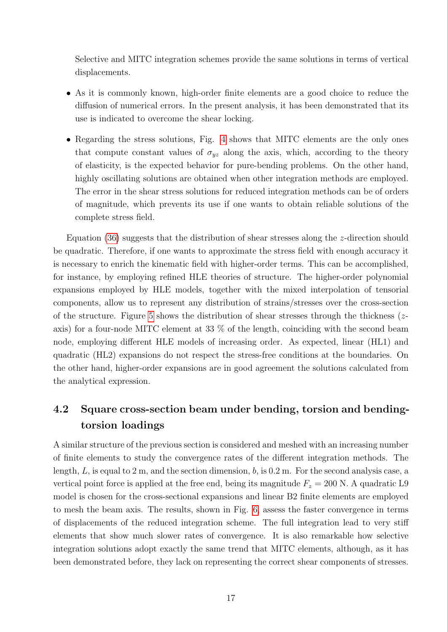Selective and MITC integration schemes provide the same solutions in terms of vertical displacements.

- As it is commonly known, high-order finite elements are a good choice to reduce the diffusion of numerical errors. In the present analysis, it has been demonstrated that its use is indicated to overcome the shear locking.
- Regarding the stress solutions, Fig. 4 shows that MITC elements are the only ones that compute constant values of  $\sigma_{yz}$  along the axis, which, according to the theory of elasticity, is the expected behavior for pure-bending problems. On the other hand, highly oscillating solutions are obtained when other integration methods are employed. The error in the shear stress solutions for reduced integration methods can be of orders of magnitude, which prevents its use if one wants to obtain reliable solutions of the complete stress field.

Equation (36) suggests that the distribution of shear stresses along the z-direction should be quadratic. Therefore, if one wants to approximate the stress field with enough accuracy it is necessary to enrich the kinematic field with higher-order terms. This can be accomplished, for instance, by employing refined HLE theories of structure. The higher-order polynomial expansions employed by HLE models, together with the mixed interpolation of tensorial components, allow us to represent any distribution of strains/stresses over the cross-section of the structure. Figure 5 shows the distribution of shear stresses through the thickness  $(z$ axis) for a four-node MITC element at 33 % of the length, coinciding with the second beam node, employing different HLE models of increasing order. As expected, linear (HL1) and quadratic (HL2) expansions do not respect the stress-free conditions at the boundaries. On the other hand, higher-order expansions are in good agreement the solutions calculated from the analytical expression.

## 4.2 Square cross-section beam under bending, torsion and bendingtorsion loadings

A similar structure of the previous section is considered and meshed with an increasing number of finite elements to study the convergence rates of the different integration methods. The length,  $L$ , is equal to 2 m, and the section dimension,  $b$ , is 0.2 m. For the second analysis case, a vertical point force is applied at the free end, being its magnitude  $F_z = 200$  N. A quadratic L9 model is chosen for the cross-sectional expansions and linear B2 finite elements are employed to mesh the beam axis. The results, shown in Fig. 6, assess the faster convergence in terms of displacements of the reduced integration scheme. The full integration lead to very stiff elements that show much slower rates of convergence. It is also remarkable how selective integration solutions adopt exactly the same trend that MITC elements, although, as it has been demonstrated before, they lack on representing the correct shear components of stresses.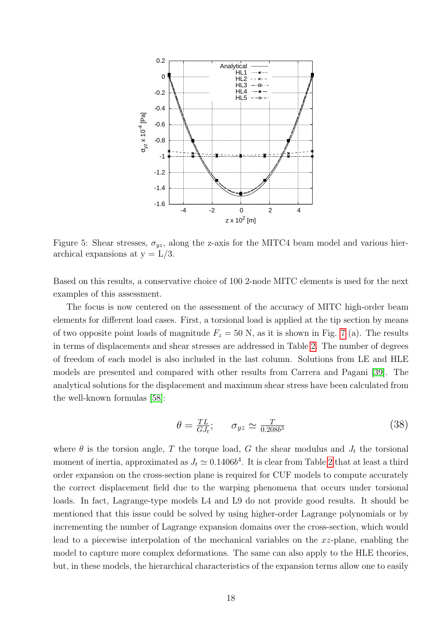

Figure 5: Shear stresses,  $\sigma_{yz}$ , along the z-axis for the MITC4 beam model and various hierarchical expansions at  $y = L/3$ .

Based on this results, a conservative choice of 100 2-node MITC elements is used for the next examples of this assessment.

The focus is now centered on the assessment of the accuracy of MITC high-order beam elements for different load cases. First, a torsional load is applied at the tip section by means of two opposite point loads of magnitude  $F_z = 50$  N, as it is shown in Fig. 7 (a). The results in terms of displacements and shear stresses are addressed in Table 2. The number of degrees of freedom of each model is also included in the last column. Solutions from LE and HLE models are presented and compared with other results from Carrera and Pagani [39]. The analytical solutions for the displacement and maximum shear stress have been calculated from the well-known formulas [58]:

$$
\theta = \frac{TL}{GJ_t}; \qquad \sigma_{yz} \simeq \frac{T}{0.208b^3} \tag{38}
$$

where  $\theta$  is the torsion angle, T the torque load, G the shear modulus and  $J_t$  the torsional moment of inertia, approximated as  $J_t \simeq 0.1406b^4$ . It is clear from Table 2 that at least a third order expansion on the cross-section plane is required for CUF models to compute accurately the correct displacement field due to the warping phenomena that occurs under torsional loads. In fact, Lagrange-type models L4 and L9 do not provide good results. It should be mentioned that this issue could be solved by using higher-order Lagrange polynomials or by incrementing the number of Lagrange expansion domains over the cross-section, which would lead to a piecewise interpolation of the mechanical variables on the  $xz$ -plane, enabling the model to capture more complex deformations. The same can also apply to the HLE theories, but, in these models, the hierarchical characteristics of the expansion terms allow one to easily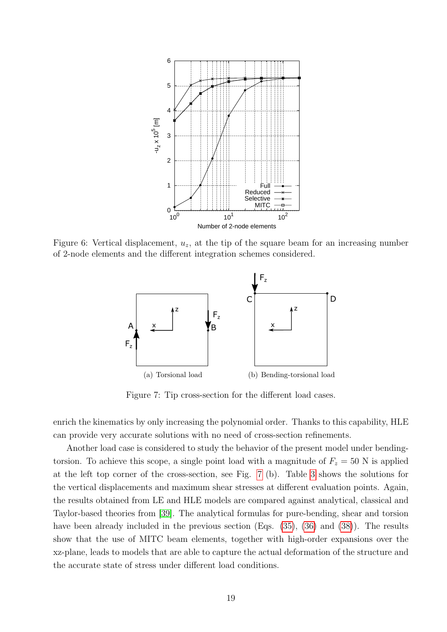

Figure 6: Vertical displacement,  $u_z$ , at the tip of the square beam for an increasing number of 2-node elements and the different integration schemes considered.



Figure 7: Tip cross-section for the different load cases.

enrich the kinematics by only increasing the polynomial order. Thanks to this capability, HLE can provide very accurate solutions with no need of cross-section refinements.

Another load case is considered to study the behavior of the present model under bendingtorsion. To achieve this scope, a single point load with a magnitude of  $F<sub>z</sub> = 50$  N is applied at the left top corner of the cross-section, see Fig. 7 (b). Table 3 shows the solutions for the vertical displacements and maximum shear stresses at different evaluation points. Again, the results obtained from LE and HLE models are compared against analytical, classical and Taylor-based theories from [39]. The analytical formulas for pure-bending, shear and torsion have been already included in the previous section (Eqs.  $(35)$ ,  $(36)$ ) and  $(38)$ ). The results show that the use of MITC beam elements, together with high-order expansions over the xz-plane, leads to models that are able to capture the actual deformation of the structure and the accurate state of stress under different load conditions.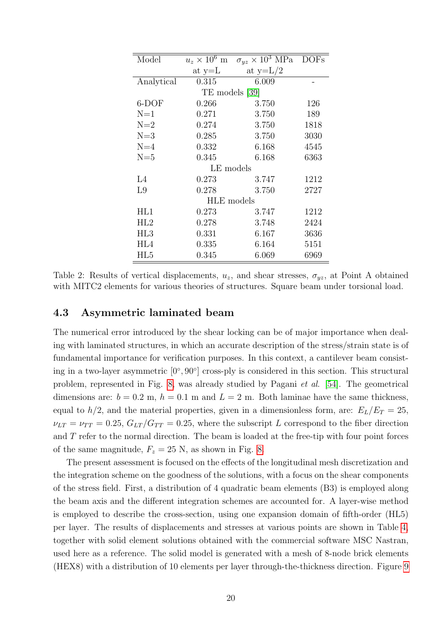| Model          | $u_z \times 10^6$ m | $\sigma_{yz} \times 10^3$ MPa DOFs |      |  |  |  |  |
|----------------|---------------------|------------------------------------|------|--|--|--|--|
|                | at $y=L$            | at $y=L/2$                         |      |  |  |  |  |
| Analytical     | 0.315               | 6.009                              |      |  |  |  |  |
| TE models [39] |                     |                                    |      |  |  |  |  |
| 6-DOF          | 0.266               | 3.750                              | 126  |  |  |  |  |
| $N=1$          | 0.271               | 3.750                              | 189  |  |  |  |  |
| $N=2$          | 0.274               | 3.750                              | 1818 |  |  |  |  |
| $N=3$          | 0.285               | 3.750                              | 3030 |  |  |  |  |
| $N=4$          | 0.332               | 6.168                              | 4545 |  |  |  |  |
| $N=5$          | 0.345               | 6.168                              | 6363 |  |  |  |  |
| LE models      |                     |                                    |      |  |  |  |  |
| L4             | 0.273               | 3.747                              | 1212 |  |  |  |  |
| L9             | 0.278               | 3.750                              | 2727 |  |  |  |  |
| HLE models     |                     |                                    |      |  |  |  |  |
| HL1            | 0.273               | 3.747                              | 1212 |  |  |  |  |
| HL2            | 0.278               | 3.748                              | 2424 |  |  |  |  |
| HL3            | 0.331               | 6.167                              | 3636 |  |  |  |  |
| HL4            | 0.335               | 6.164                              | 5151 |  |  |  |  |
| HL5            | 0.345               | 6.069                              | 6969 |  |  |  |  |

Table 2: Results of vertical displacements,  $u_z$ , and shear stresses,  $\sigma_{yz}$ , at Point A obtained with MITC2 elements for various theories of structures. Square beam under torsional load.

#### 4.3 Asymmetric laminated beam

The numerical error introduced by the shear locking can be of major importance when dealing with laminated structures, in which an accurate description of the stress/strain state is of fundamental importance for verification purposes. In this context, a cantilever beam consisting in a two-layer asymmetric [0°, 90°] cross-ply is considered in this section. This structural problem, represented in Fig. 8, was already studied by Pagani et al. [54]. The geometrical dimensions are:  $b = 0.2$  m,  $h = 0.1$  m and  $L = 2$  m. Both laminae have the same thickness, equal to  $h/2$ , and the material properties, given in a dimensionless form, are:  $E_L/E_T = 25$ ,  $\nu_{LT} = \nu_{TT} = 0.25, G_{LT}/G_{TT} = 0.25$ , where the subscript L correspond to the fiber direction and T refer to the normal direction. The beam is loaded at the free-tip with four point forces of the same magnitude,  $F_z = 25$  N, as shown in Fig. 8.

The present assessment is focused on the effects of the longitudinal mesh discretization and the integration scheme on the goodness of the solutions, with a focus on the shear components of the stress field. First, a distribution of 4 quadratic beam elements (B3) is employed along the beam axis and the different integration schemes are accounted for. A layer-wise method is employed to describe the cross-section, using one expansion domain of fifth-order (HL5) per layer. The results of displacements and stresses at various points are shown in Table 4, together with solid element solutions obtained with the commercial software MSC Nastran, used here as a reference. The solid model is generated with a mesh of 8-node brick elements (HEX8) with a distribution of 10 elements per layer through-the-thickness direction. Figure 9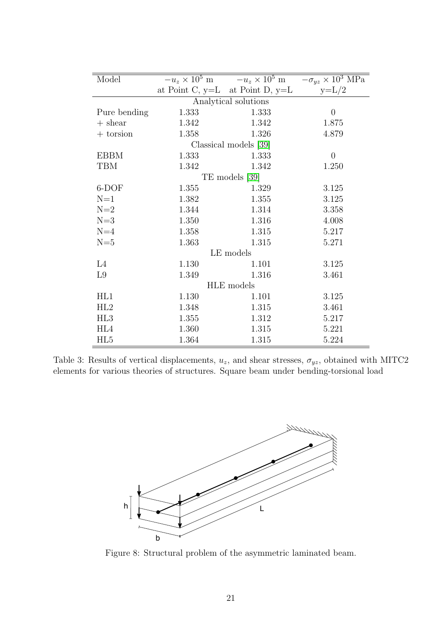| Model                |                       | $-u_z \times 10^5 \text{ m}$ $-u_z \times 10^5 \text{ m}$ | $-\sigma_{yz}\times 10^3$ MPa |  |  |  |  |
|----------------------|-----------------------|-----------------------------------------------------------|-------------------------------|--|--|--|--|
|                      |                       | at Point C, $y=L$ at Point D, $y=L$                       | $y=L/2$                       |  |  |  |  |
| Analytical solutions |                       |                                                           |                               |  |  |  |  |
| Pure bending         | 1.333                 | 1.333                                                     | $\overline{0}$                |  |  |  |  |
| $+$ shear            | 1.342                 | 1.342                                                     | 1.875                         |  |  |  |  |
| $+$ torsion $\,$     | 1.358                 | 1.326                                                     | 4.879                         |  |  |  |  |
|                      | Classical models [39] |                                                           |                               |  |  |  |  |
| <b>EBBM</b>          | 1.333                 | 1.333                                                     | $\overline{0}$                |  |  |  |  |
| TBM                  | 1.342                 | 1.342                                                     | 1.250                         |  |  |  |  |
|                      |                       | TE models [39]                                            |                               |  |  |  |  |
| 6-DOF                | 1.355                 | 1.329                                                     | 3.125                         |  |  |  |  |
| $N=1$                | 1.382                 | 1.355                                                     | 3.125                         |  |  |  |  |
| $N=2$                | 1.344                 | 1.314                                                     | 3.358                         |  |  |  |  |
| $N=3$                | 1.350                 | 1.316                                                     | 4.008                         |  |  |  |  |
| $N=4$                | 1.358                 | 1.315                                                     | 5.217                         |  |  |  |  |
| $N=5$                | 1.363                 | 1.315                                                     | 5.271                         |  |  |  |  |
| LE models            |                       |                                                           |                               |  |  |  |  |
| L4                   | 1.130                 | 1.101                                                     | 3.125                         |  |  |  |  |
| L <sub>9</sub>       | 1.349                 | 1.316                                                     | 3.461                         |  |  |  |  |
| HLE models           |                       |                                                           |                               |  |  |  |  |
| HL1                  | 1.130                 | 1.101                                                     | 3.125                         |  |  |  |  |
| HL2                  | 1.348                 | 1.315                                                     | 3.461                         |  |  |  |  |
| HL <sub>3</sub>      | 1.355                 | 1.312                                                     | 5.217                         |  |  |  |  |
| HL4                  | 1.360                 | 1.315                                                     | 5.221                         |  |  |  |  |
| HL5                  | 1.364                 | 1.315                                                     | 5.224                         |  |  |  |  |

Table 3: Results of vertical displacements,  $u_z$ , and shear stresses,  $\sigma_{yz}$ , obtained with MITC2 elements for various theories of structures. Square beam under bending-torsional load



Figure 8: Structural problem of the asymmetric laminated beam.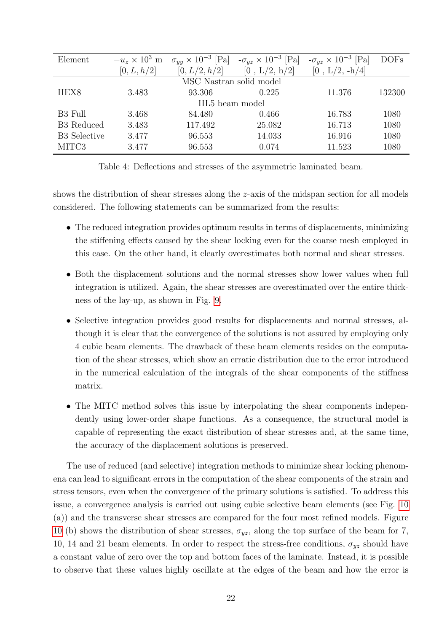| Element                    | $-u_z \times 10^3$ m | $\sigma_{uu} \times 10^{-3}$ [Pa] | $-\sigma_{yz} \times 10^{-3}$ Pa | $-\sigma_{uz} \times 10^{-3}$ [Pa] | <b>DOFs</b> |  |  |
|----------------------------|----------------------|-----------------------------------|----------------------------------|------------------------------------|-------------|--|--|
|                            | [0, L, h/2]          | [0, L/2, h/2]                     | [0, L/2, h/2]                    | $[0, L/2, -h/4]$                   |             |  |  |
| MSC Nastran solid model    |                      |                                   |                                  |                                    |             |  |  |
| HEX <sub>8</sub>           | 3.483                | 93.306                            | 0.225                            | 11.376                             | 132300      |  |  |
| HL <sub>5</sub> beam model |                      |                                   |                                  |                                    |             |  |  |
| B <sub>3</sub> Full        | 3.468                | 84.480                            | 0.466                            | 16.783                             | 1080        |  |  |
| <b>B3</b> Reduced          | 3.483                | 117.492                           | 25.082                           | 16.713                             | 1080        |  |  |
| <b>B3</b> Selective        | 3.477                | 96.553                            | 14.033                           | 16.916                             | 1080        |  |  |
| MITC3                      | 3.477                | 96.553                            | 0.074                            | 11.523                             | 1080        |  |  |

Table 4: Deflections and stresses of the asymmetric laminated beam.

shows the distribution of shear stresses along the z-axis of the midspan section for all models considered. The following statements can be summarized from the results:

- The reduced integration provides optimum results in terms of displacements, minimizing the stiffening effects caused by the shear locking even for the coarse mesh employed in this case. On the other hand, it clearly overestimates both normal and shear stresses.
- Both the displacement solutions and the normal stresses show lower values when full integration is utilized. Again, the shear stresses are overestimated over the entire thickness of the lay-up, as shown in Fig. 9.
- Selective integration provides good results for displacements and normal stresses, although it is clear that the convergence of the solutions is not assured by employing only 4 cubic beam elements. The drawback of these beam elements resides on the computation of the shear stresses, which show an erratic distribution due to the error introduced in the numerical calculation of the integrals of the shear components of the stiffness matrix.
- The MITC method solves this issue by interpolating the shear components independently using lower-order shape functions. As a consequence, the structural model is capable of representing the exact distribution of shear stresses and, at the same time, the accuracy of the displacement solutions is preserved.

The use of reduced (and selective) integration methods to minimize shear locking phenomena can lead to significant errors in the computation of the shear components of the strain and stress tensors, even when the convergence of the primary solutions is satisfied. To address this issue, a convergence analysis is carried out using cubic selective beam elements (see Fig. 10 (a)) and the transverse shear stresses are compared for the four most refined models. Figure 10 (b) shows the distribution of shear stresses,  $\sigma_{yz}$ , along the top surface of the beam for 7, 10, 14 and 21 beam elements. In order to respect the stress-free conditions,  $\sigma_{yz}$  should have a constant value of zero over the top and bottom faces of the laminate. Instead, it is possible to observe that these values highly oscillate at the edges of the beam and how the error is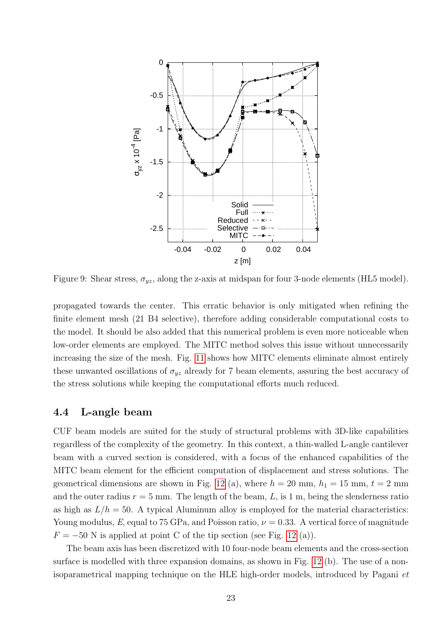

Figure 9: Shear stress,  $\sigma_{yz}$ , along the z-axis at midspan for four 3-node elements (HL5 model).

propagated towards the center. This erratic behavior is only mitigated when refining the finite element mesh (21 B4 selective), therefore adding considerable computational costs to the model. It should be also added that this numerical problem is even more noticeable when low-order elements are employed. The MITC method solves this issue without unnecessarily increasing the size of the mesh. Fig. 11 shows how MITC elements eliminate almost entirely these unwanted oscillations of  $\sigma_{yz}$  already for 7 beam elements, assuring the best accuracy of the stress solutions while keeping the computational efforts much reduced.

#### 4.4 L-angle beam

CUF beam models are suited for the study of structural problems with 3D-like capabilities regardless of the complexity of the geometry. In this context, a thin-walled L-angle cantilever beam with a curved section is considered, with a focus of the enhanced capabilities of the MITC beam element for the efficient computation of displacement and stress solutions. The geometrical dimensions are shown in Fig. 12 (a), where  $h = 20$  mm,  $h_1 = 15$  mm,  $t = 2$  mm and the outer radius  $r = 5$  mm. The length of the beam, L, is 1 m, being the slenderness ratio as high as  $L/h = 50$ . A typical Aluminum alloy is employed for the material characteristics: Young modulus, E, equal to 75 GPa, and Poisson ratio,  $\nu = 0.33$ . A vertical force of magnitude  $F = -50$  N is applied at point C of the tip section (see Fig. 12 (a)).

The beam axis has been discretized with 10 four-node beam elements and the cross-section surface is modelled with three expansion domains, as shown in Fig. 12 (b). The use of a nonisoparametrical mapping technique on the HLE high-order models, introduced by Pagani et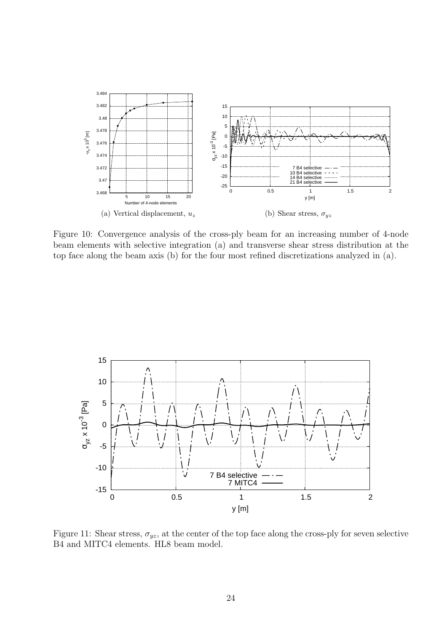

Figure 10: Convergence analysis of the cross-ply beam for an increasing number of 4-node beam elements with selective integration (a) and transverse shear stress distribution at the top face along the beam axis (b) for the four most refined discretizations analyzed in (a).



Figure 11: Shear stress,  $\sigma_{yz}$ , at the center of the top face along the cross-ply for seven selective B4 and MITC4 elements. HL8 beam model.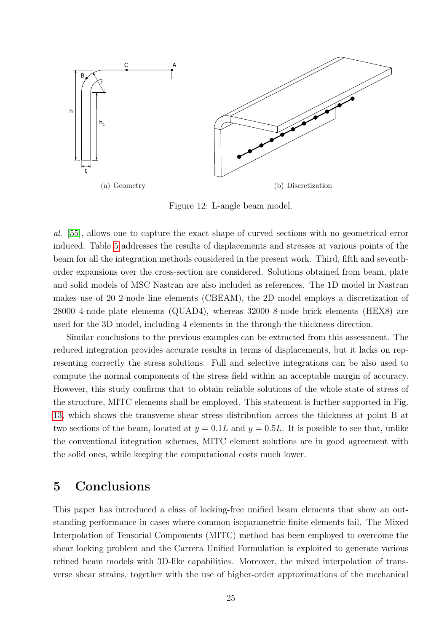

Figure 12: L-angle beam model.

al. [55], allows one to capture the exact shape of curved sections with no geometrical error induced. Table 5 addresses the results of displacements and stresses at various points of the beam for all the integration methods considered in the present work. Third, fifth and seventhorder expansions over the cross-section are considered. Solutions obtained from beam, plate and solid models of MSC Nastran are also included as references. The 1D model in Nastran makes use of 20 2-node line elements (CBEAM), the 2D model employs a discretization of 28000 4-node plate elements (QUAD4), whereas 32000 8-node brick elements (HEX8) are used for the 3D model, including 4 elements in the through-the-thickness direction.

Similar conclusions to the previous examples can be extracted from this assessment. The reduced integration provides accurate results in terms of displacements, but it lacks on representing correctly the stress solutions. Full and selective integrations can be also used to compute the normal components of the stress field within an acceptable margin of accuracy. However, this study confirms that to obtain reliable solutions of the whole state of stress of the structure, MITC elements shall be employed. This statement is further supported in Fig. 13, which shows the transverse shear stress distribution across the thickness at point B at two sections of the beam, located at  $y = 0.1L$  and  $y = 0.5L$ . It is possible to see that, unlike the conventional integration schemes, MITC element solutions are in good agreement with the solid ones, while keeping the computational costs much lower.

## 5 Conclusions

This paper has introduced a class of locking-free unified beam elements that show an outstanding performance in cases where common isoparametric finite elements fail. The Mixed Interpolation of Tensorial Components (MITC) method has been employed to overcome the shear locking problem and the Carrera Unified Formulation is exploited to generate various refined beam models with 3D-like capabilities. Moreover, the mixed interpolation of transverse shear strains, together with the use of higher-order approximations of the mechanical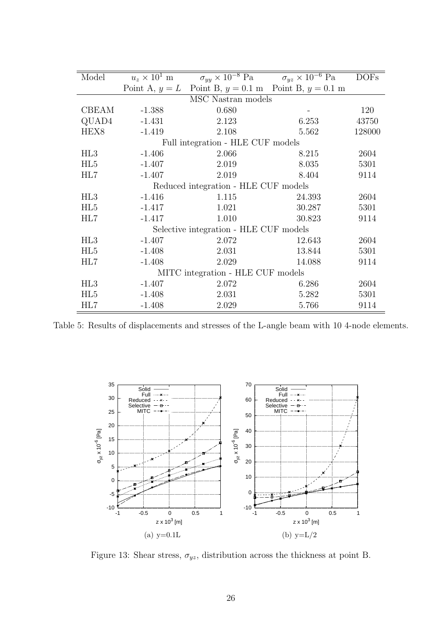| Model                                  |          |                                                            | $u_z \times 10^1$ m $\sigma_{yy} \times 10^{-8}$ Pa $\sigma_{yz} \times 10^{-6}$ Pa | <b>DOFs</b> |  |  |  |
|----------------------------------------|----------|------------------------------------------------------------|-------------------------------------------------------------------------------------|-------------|--|--|--|
|                                        |          | Point A, $y = L$ Point B, $y = 0.1$ m Point B, $y = 0.1$ m |                                                                                     |             |  |  |  |
| MSC Nastran models                     |          |                                                            |                                                                                     |             |  |  |  |
| CBEAM                                  | $-1.388$ | 0.680                                                      |                                                                                     | 120         |  |  |  |
| QUAD4                                  | $-1.431$ | 2.123                                                      | 6.253                                                                               | 43750       |  |  |  |
| HEX <sub>8</sub>                       | $-1.419$ | 2.108                                                      | 5.562                                                                               | 128000      |  |  |  |
| Full integration - HLE CUF models      |          |                                                            |                                                                                     |             |  |  |  |
| HL3                                    | $-1.406$ | 2.066                                                      | 8.215                                                                               | 2604        |  |  |  |
| HL5                                    | $-1.407$ | 2.019                                                      | 8.035                                                                               | 5301        |  |  |  |
| HL7                                    | $-1.407$ | 2.019                                                      | 8.404                                                                               | 9114        |  |  |  |
| Reduced integration - HLE CUF models   |          |                                                            |                                                                                     |             |  |  |  |
| HL3                                    | $-1.416$ | 1.115                                                      | 24.393                                                                              | 2604        |  |  |  |
| HL5                                    | $-1.417$ | 1.021                                                      | 30.287                                                                              | 5301        |  |  |  |
| HL7                                    | $-1.417$ | 1.010                                                      | 30.823                                                                              | 9114        |  |  |  |
| Selective integration - HLE CUF models |          |                                                            |                                                                                     |             |  |  |  |
| HL3                                    | $-1.407$ | 2.072                                                      | 12.643                                                                              | 2604        |  |  |  |
| HL5                                    | $-1.408$ | 2.031                                                      | 13.844                                                                              | 5301        |  |  |  |
| HL7                                    | $-1.408$ | 2.029                                                      | 14.088                                                                              | 9114        |  |  |  |
| MITC integration - HLE CUF models      |          |                                                            |                                                                                     |             |  |  |  |
| HL3                                    | $-1.407$ | 2.072                                                      | 6.286                                                                               | 2604        |  |  |  |
| HL <sub>5</sub>                        | $-1.408$ | 2.031                                                      | 5.282                                                                               | 5301        |  |  |  |
| HL7                                    | $-1.408$ | 2.029                                                      | 5.766                                                                               | 9114        |  |  |  |

Table 5: Results of displacements and stresses of the L-angle beam with 10 4-node elements.



Figure 13: Shear stress,  $\sigma_{yz}$ , distribution across the thickness at point B.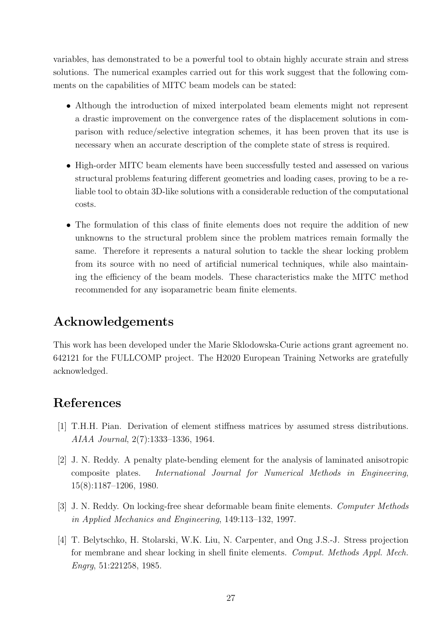variables, has demonstrated to be a powerful tool to obtain highly accurate strain and stress solutions. The numerical examples carried out for this work suggest that the following comments on the capabilities of MITC beam models can be stated:

- Although the introduction of mixed interpolated beam elements might not represent a drastic improvement on the convergence rates of the displacement solutions in comparison with reduce/selective integration schemes, it has been proven that its use is necessary when an accurate description of the complete state of stress is required.
- High-order MITC beam elements have been successfully tested and assessed on various structural problems featuring different geometries and loading cases, proving to be a reliable tool to obtain 3D-like solutions with a considerable reduction of the computational costs.
- The formulation of this class of finite elements does not require the addition of new unknowns to the structural problem since the problem matrices remain formally the same. Therefore it represents a natural solution to tackle the shear locking problem from its source with no need of artificial numerical techniques, while also maintaining the efficiency of the beam models. These characteristics make the MITC method recommended for any isoparametric beam finite elements.

## Acknowledgements

This work has been developed under the Marie Sklodowska-Curie actions grant agreement no. 642121 for the FULLCOMP project. The H2020 European Training Networks are gratefully acknowledged.

## References

- [1] T.H.H. Pian. Derivation of element stiffness matrices by assumed stress distributions. AIAA Journal, 2(7):1333–1336, 1964.
- [2] J. N. Reddy. A penalty plate-bending element for the analysis of laminated anisotropic composite plates. International Journal for Numerical Methods in Engineering, 15(8):1187–1206, 1980.
- [3] J. N. Reddy. On locking-free shear deformable beam finite elements. Computer Methods in Applied Mechanics and Engineering, 149:113–132, 1997.
- [4] T. Belytschko, H. Stolarski, W.K. Liu, N. Carpenter, and Ong J.S.-J. Stress projection for membrane and shear locking in shell finite elements. Comput. Methods Appl. Mech. Engrg, 51:221258, 1985.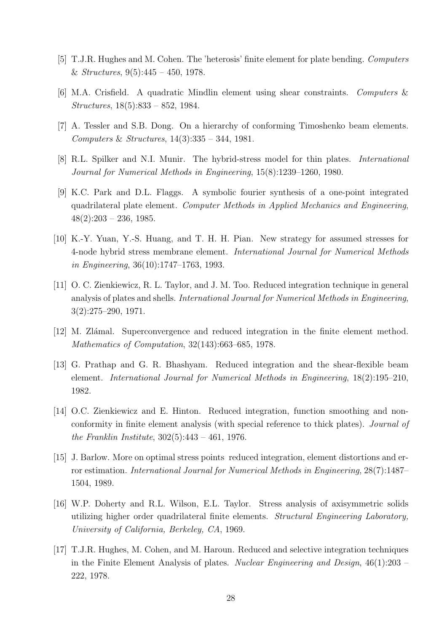- [5] T.J.R. Hughes and M. Cohen. The 'heterosis' finite element for plate bending. Computers & Structures,  $9(5):445 - 450$ , 1978.
- [6] M.A. Crisfield. A quadratic Mindlin element using shear constraints. Computers & Structures, 18(5):833 – 852, 1984.
- [7] A. Tessler and S.B. Dong. On a hierarchy of conforming Timoshenko beam elements. Computers & Structures, 14(3):335 – 344, 1981.
- [8] R.L. Spilker and N.I. Munir. The hybrid-stress model for thin plates. International Journal for Numerical Methods in Engineering, 15(8):1239–1260, 1980.
- [9] K.C. Park and D.L. Flaggs. A symbolic fourier synthesis of a one-point integrated quadrilateral plate element. Computer Methods in Applied Mechanics and Engineering,  $48(2):203 - 236, 1985.$
- [10] K.-Y. Yuan, Y.-S. Huang, and T. H. H. Pian. New strategy for assumed stresses for 4-node hybrid stress membrane element. International Journal for Numerical Methods in Engineering, 36(10):1747–1763, 1993.
- [11] O. C. Zienkiewicz, R. L. Taylor, and J. M. Too. Reduced integration technique in general analysis of plates and shells. International Journal for Numerical Methods in Engineering, 3(2):275–290, 1971.
- [12] M. Zlámal. Superconvergence and reduced integration in the finite element method. Mathematics of Computation, 32(143):663–685, 1978.
- [13] G. Prathap and G. R. Bhashyam. Reduced integration and the shear-flexible beam element. International Journal for Numerical Methods in Engineering, 18(2):195–210, 1982.
- [14] O.C. Zienkiewicz and E. Hinton. Reduced integration, function smoothing and nonconformity in finite element analysis (with special reference to thick plates). Journal of the Franklin Institute, 302(5):443 – 461, 1976.
- [15] J. Barlow. More on optimal stress points reduced integration, element distortions and error estimation. International Journal for Numerical Methods in Engineering, 28(7):1487– 1504, 1989.
- [16] W.P. Doherty and R.L. Wilson, E.L. Taylor. Stress analysis of axisymmetric solids utilizing higher order quadrilateral finite elements. Structural Engineering Laboratory, University of California, Berkeley, CA, 1969.
- [17] T.J.R. Hughes, M. Cohen, and M. Haroun. Reduced and selective integration techniques in the Finite Element Analysis of plates. Nuclear Engineering and Design, 46(1):203 – 222, 1978.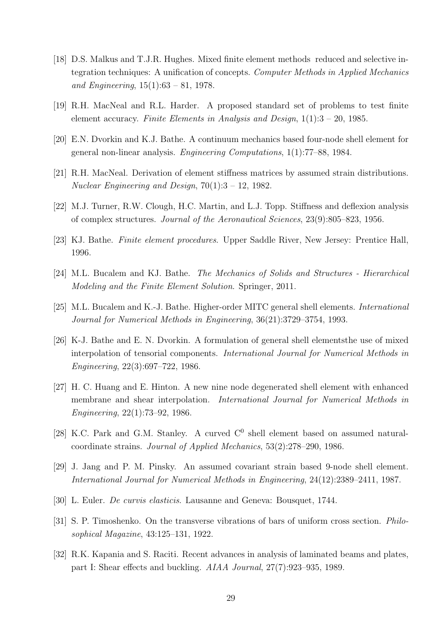- [18] D.S. Malkus and T.J.R. Hughes. Mixed finite element methods reduced and selective integration techniques: A unification of concepts. Computer Methods in Applied Mechanics and Engineering,  $15(1):63 - 81$ , 1978.
- [19] R.H. MacNeal and R.L. Harder. A proposed standard set of problems to test finite element accuracy. Finite Elements in Analysis and Design,  $1(1):3 - 20$ , 1985.
- [20] E.N. Dvorkin and K.J. Bathe. A continuum mechanics based four-node shell element for general non-linear analysis. Engineering Computations, 1(1):77–88, 1984.
- [21] R.H. MacNeal. Derivation of element stiffness matrices by assumed strain distributions. Nuclear Engineering and Design,  $70(1):3 - 12$ , 1982.
- [22] M.J. Turner, R.W. Clough, H.C. Martin, and L.J. Topp. Stiffness and deflexion analysis of complex structures. Journal of the Aeronautical Sciences, 23(9):805–823, 1956.
- [23] KJ. Bathe. Finite element procedures. Upper Saddle River, New Jersey: Prentice Hall, 1996.
- [24] M.L. Bucalem and KJ. Bathe. The Mechanics of Solids and Structures Hierarchical Modeling and the Finite Element Solution. Springer, 2011.
- [25] M.L. Bucalem and K.-J. Bathe. Higher-order MITC general shell elements. International Journal for Numerical Methods in Engineering, 36(21):3729–3754, 1993.
- [26] K-J. Bathe and E. N. Dvorkin. A formulation of general shell elementsthe use of mixed interpolation of tensorial components. International Journal for Numerical Methods in Engineering, 22(3):697–722, 1986.
- [27] H. C. Huang and E. Hinton. A new nine node degenerated shell element with enhanced membrane and shear interpolation. International Journal for Numerical Methods in Engineering, 22(1):73–92, 1986.
- [28] K.C. Park and G.M. Stanley. A curved  $C^0$  shell element based on assumed naturalcoordinate strains. Journal of Applied Mechanics, 53(2):278–290, 1986.
- [29] J. Jang and P. M. Pinsky. An assumed covariant strain based 9-node shell element. International Journal for Numerical Methods in Engineering, 24(12):2389–2411, 1987.
- [30] L. Euler. De curvis elasticis. Lausanne and Geneva: Bousquet, 1744.
- [31] S. P. Timoshenko. On the transverse vibrations of bars of uniform cross section. Philosophical Magazine, 43:125–131, 1922.
- [32] R.K. Kapania and S. Raciti. Recent advances in analysis of laminated beams and plates, part I: Shear effects and buckling. AIAA Journal, 27(7):923–935, 1989.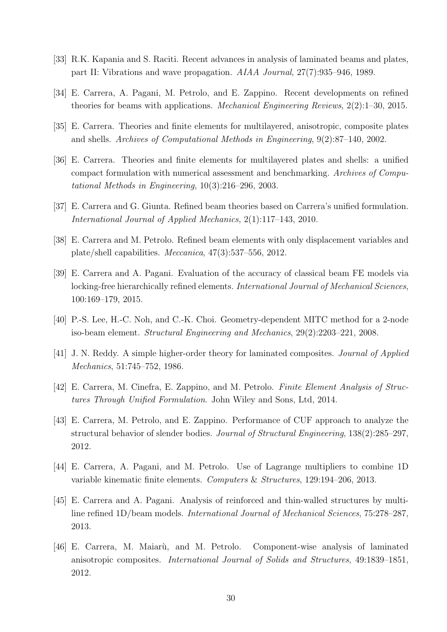- [33] R.K. Kapania and S. Raciti. Recent advances in analysis of laminated beams and plates, part II: Vibrations and wave propagation. AIAA Journal, 27(7):935–946, 1989.
- [34] E. Carrera, A. Pagani, M. Petrolo, and E. Zappino. Recent developments on refined theories for beams with applications. Mechanical Engineering Reviews, 2(2):1–30, 2015.
- [35] E. Carrera. Theories and finite elements for multilayered, anisotropic, composite plates and shells. Archives of Computational Methods in Engineering, 9(2):87–140, 2002.
- [36] E. Carrera. Theories and finite elements for multilayered plates and shells: a unified compact formulation with numerical assessment and benchmarking. Archives of Computational Methods in Engineering, 10(3):216–296, 2003.
- [37] E. Carrera and G. Giunta. Refined beam theories based on Carrera's unified formulation. International Journal of Applied Mechanics, 2(1):117–143, 2010.
- [38] E. Carrera and M. Petrolo. Refined beam elements with only displacement variables and plate/shell capabilities. Meccanica, 47(3):537–556, 2012.
- [39] E. Carrera and A. Pagani. Evaluation of the accuracy of classical beam FE models via locking-free hierarchically refined elements. International Journal of Mechanical Sciences, 100:169–179, 2015.
- [40] P.-S. Lee, H.-C. Noh, and C.-K. Choi. Geometry-dependent MITC method for a 2-node iso-beam element. Structural Engineering and Mechanics, 29(2):2203–221, 2008.
- [41] J. N. Reddy. A simple higher-order theory for laminated composites. Journal of Applied Mechanics, 51:745–752, 1986.
- [42] E. Carrera, M. Cinefra, E. Zappino, and M. Petrolo. Finite Element Analysis of Structures Through Unified Formulation. John Wiley and Sons, Ltd, 2014.
- [43] E. Carrera, M. Petrolo, and E. Zappino. Performance of CUF approach to analyze the structural behavior of slender bodies. Journal of Structural Engineering, 138(2):285–297, 2012.
- [44] E. Carrera, A. Pagani, and M. Petrolo. Use of Lagrange multipliers to combine 1D variable kinematic finite elements. Computers & Structures, 129:194–206, 2013.
- [45] E. Carrera and A. Pagani. Analysis of reinforced and thin-walled structures by multiline refined 1D/beam models. International Journal of Mechanical Sciences, 75:278–287, 2013.
- [46] E. Carrera, M. Maiar`u, and M. Petrolo. Component-wise analysis of laminated anisotropic composites. International Journal of Solids and Structures, 49:1839–1851, 2012.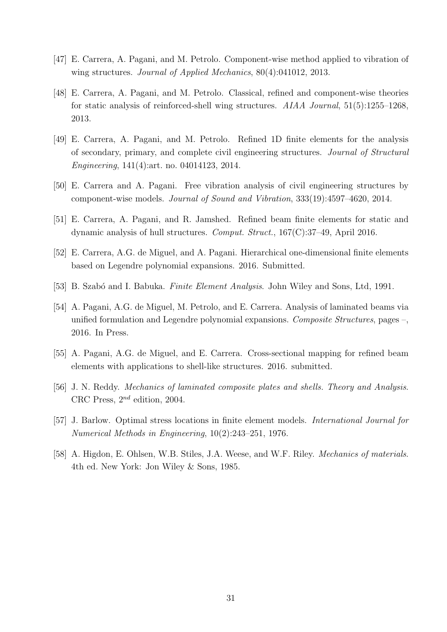- [47] E. Carrera, A. Pagani, and M. Petrolo. Component-wise method applied to vibration of wing structures. Journal of Applied Mechanics, 80(4):041012, 2013.
- [48] E. Carrera, A. Pagani, and M. Petrolo. Classical, refined and component-wise theories for static analysis of reinforced-shell wing structures. AIAA Journal, 51(5):1255–1268, 2013.
- [49] E. Carrera, A. Pagani, and M. Petrolo. Refined 1D finite elements for the analysis of secondary, primary, and complete civil engineering structures. Journal of Structural Engineering, 141(4):art. no. 04014123, 2014.
- [50] E. Carrera and A. Pagani. Free vibration analysis of civil engineering structures by component-wise models. Journal of Sound and Vibration, 333(19):4597–4620, 2014.
- [51] E. Carrera, A. Pagani, and R. Jamshed. Refined beam finite elements for static and dynamic analysis of hull structures. Comput. Struct., 167(C):37–49, April 2016.
- [52] E. Carrera, A.G. de Miguel, and A. Pagani. Hierarchical one-dimensional finite elements based on Legendre polynomial expansions. 2016. Submitted.
- [53] B. Szabó and I. Babuka. Finite Element Analysis. John Wiley and Sons, Ltd, 1991.
- [54] A. Pagani, A.G. de Miguel, M. Petrolo, and E. Carrera. Analysis of laminated beams via unified formulation and Legendre polynomial expansions. Composite Structures, pages  $-$ , 2016. In Press.
- [55] A. Pagani, A.G. de Miguel, and E. Carrera. Cross-sectional mapping for refined beam elements with applications to shell-like structures. 2016. submitted.
- [56] J. N. Reddy. *Mechanics of laminated composite plates and shells. Theory and Analysis.* CRC Press,  $2^{nd}$  edition, 2004.
- [57] J. Barlow. Optimal stress locations in finite element models. International Journal for Numerical Methods in Engineering, 10(2):243–251, 1976.
- [58] A. Higdon, E. Ohlsen, W.B. Stiles, J.A. Weese, and W.F. Riley. *Mechanics of materials.* 4th ed. New York: Jon Wiley & Sons, 1985.